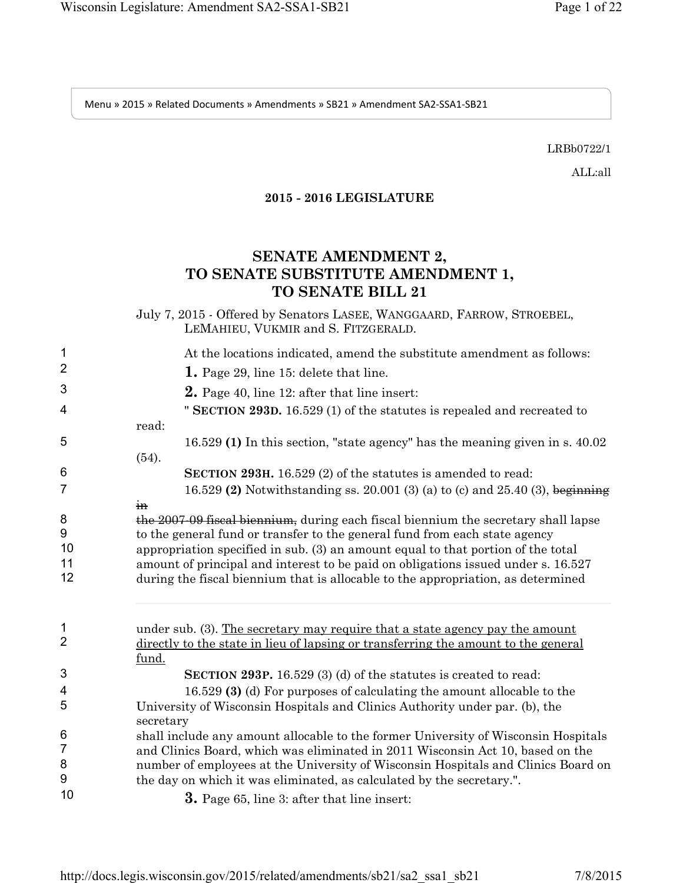Menu » 2015 » Related Documents » Amendments » SB21 » Amendment SA2-SSA1-SB21

LRBb0722/1

ALL:all

## **2015 - 2016 LEGISLATURE**

## **SENATE AMENDMENT 2, TO SENATE SUBSTITUTE AMENDMENT 1, TO SENATE BILL 21**

|                | July 7, 2015 - Offered by Senators LASEE, WANGGAARD, FARROW, STROEBEL,<br>LEMAHIEU, VUKMIR and S. FITZGERALD.                                                         |
|----------------|-----------------------------------------------------------------------------------------------------------------------------------------------------------------------|
| 1              | At the locations indicated, amend the substitute amendment as follows:                                                                                                |
| 2              | 1. Page 29, line 15: delete that line.                                                                                                                                |
| 3              | 2. Page 40, line 12: after that line insert:                                                                                                                          |
| 4              | " SECTION 293D. 16.529 (1) of the statutes is repealed and recreated to                                                                                               |
|                | read:                                                                                                                                                                 |
| 5              | 16.529 (1) In this section, "state agency" has the meaning given in s. 40.02                                                                                          |
|                | (54).                                                                                                                                                                 |
| 6              | SECTION 293H. 16.529 (2) of the statutes is amended to read:                                                                                                          |
| $\overline{7}$ | 16.529 (2) Notwithstanding ss. 20.001 (3) (a) to (c) and 25.40 (3), beginning                                                                                         |
|                | $+n$                                                                                                                                                                  |
| 8              | the 2007-09 fiscal biennium, during each fiscal biennium the secretary shall lapse                                                                                    |
| 9              | to the general fund or transfer to the general fund from each state agency                                                                                            |
| 10             | appropriation specified in sub. (3) an amount equal to that portion of the total                                                                                      |
| 11<br>12       | amount of principal and interest to be paid on obligations issued under s. 16.527<br>during the fiscal biennium that is allocable to the appropriation, as determined |
|                |                                                                                                                                                                       |
| 1              | under sub. (3). The secretary may require that a state agency pay the amount                                                                                          |
| $\overline{2}$ | <u>directly to the state in lieu of lapsing or transferring the amount to the general</u><br>fund.                                                                    |
| 3              | <b>SECTION 293P.</b> 16.529 (3) (d) of the statutes is created to read:                                                                                               |
| 4              | 16.529 (3) (d) For purposes of calculating the amount allocable to the                                                                                                |
| 5              | University of Wisconsin Hospitals and Clinics Authority under par. (b), the<br>secretary                                                                              |
| 6              | shall include any amount allocable to the former University of Wisconsin Hospitals                                                                                    |
| $\overline{7}$ | and Clinics Board, which was eliminated in 2011 Wisconsin Act 10, based on the                                                                                        |
| 8              | number of employees at the University of Wisconsin Hospitals and Clinics Board on                                                                                     |
| 9              | the day on which it was eliminated, as calculated by the secretary.".                                                                                                 |
| 10             | <b>3.</b> Page 65, line 3: after that line insert:                                                                                                                    |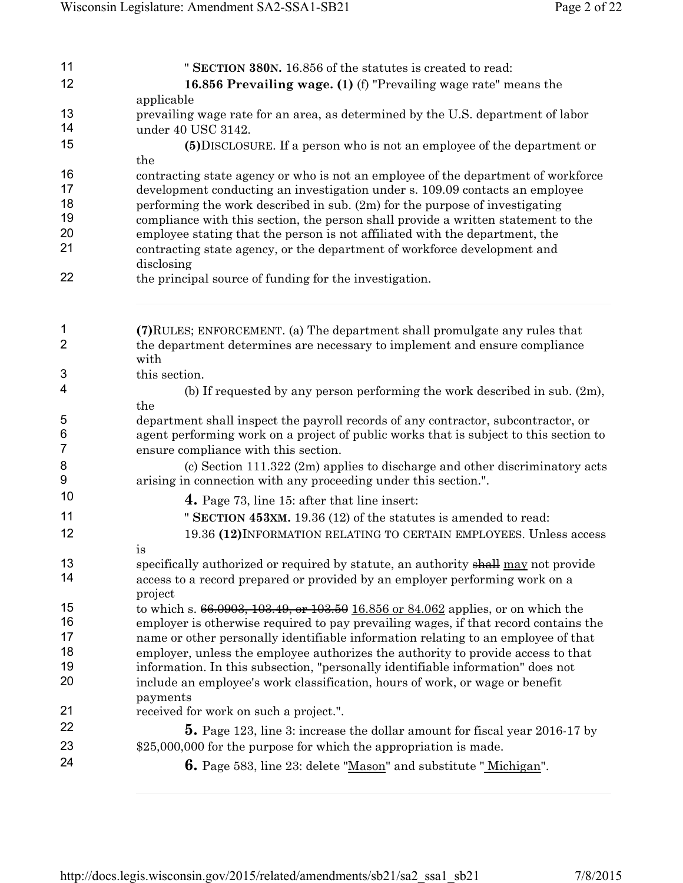| 11             | " SECTION 380N. 16.856 of the statutes is created to read:                                                                                                          |
|----------------|---------------------------------------------------------------------------------------------------------------------------------------------------------------------|
| 12             | 16.856 Prevailing wage. (1) (f) "Prevailing wage rate" means the                                                                                                    |
|                | applicable                                                                                                                                                          |
| 13             | prevailing wage rate for an area, as determined by the U.S. department of labor                                                                                     |
| 14             | under 40 USC 3142.                                                                                                                                                  |
| 15             | (5) DISCLOSURE. If a person who is not an employee of the department or                                                                                             |
|                | the                                                                                                                                                                 |
| 16             | contracting state agency or who is not an employee of the department of workforce                                                                                   |
| 17             | development conducting an investigation under s. 109.09 contacts an employee                                                                                        |
| 18<br>19       | performing the work described in sub. (2m) for the purpose of investigating                                                                                         |
| 20             | compliance with this section, the person shall provide a written statement to the<br>employee stating that the person is not affiliated with the department, the    |
| 21             | contracting state agency, or the department of workforce development and                                                                                            |
|                | disclosing                                                                                                                                                          |
| 22             | the principal source of funding for the investigation.                                                                                                              |
|                |                                                                                                                                                                     |
| 1              | (7) RULES; ENFORCEMENT. (a) The department shall promulgate any rules that                                                                                          |
| 2              | the department determines are necessary to implement and ensure compliance<br>with                                                                                  |
| 3              | this section.                                                                                                                                                       |
| 4              | (b) If requested by any person performing the work described in sub. $(2m)$ ,                                                                                       |
|                | the                                                                                                                                                                 |
| 5              | department shall inspect the payroll records of any contractor, subcontractor, or                                                                                   |
| 6              | agent performing work on a project of public works that is subject to this section to                                                                               |
| $\overline{7}$ | ensure compliance with this section.                                                                                                                                |
| 8<br>9         | (c) Section $111.322$ (2m) applies to discharge and other discriminatory acts<br>arising in connection with any proceeding under this section.".                    |
| 10             | 4. Page 73, line 15: after that line insert:                                                                                                                        |
| 11             | " SECTION 453XM. 19.36 (12) of the statutes is amended to read:                                                                                                     |
| 12             | 19.36 (12) INFORMATION RELATING TO CERTAIN EMPLOYEES. Unless access                                                                                                 |
|                | is                                                                                                                                                                  |
| 13             | specifically authorized or required by statute, an authority shall may not provide                                                                                  |
| 14             | access to a record prepared or provided by an employer performing work on a                                                                                         |
|                | project                                                                                                                                                             |
| 15             | to which s. 66.0903, 103.49, or 103.50 16.856 or 84.062 applies, or on which the                                                                                    |
| 16             | employer is otherwise required to pay prevailing wages, if that record contains the                                                                                 |
| 17<br>18       | name or other personally identifiable information relating to an employee of that                                                                                   |
| 19             | employer, unless the employee authorizes the authority to provide access to that<br>information. In this subsection, "personally identifiable information" does not |
| 20             | include an employee's work classification, hours of work, or wage or benefit                                                                                        |
|                | payments                                                                                                                                                            |
| 21             | received for work on such a project.".                                                                                                                              |
| 22             | <b>5.</b> Page 123, line 3: increase the dollar amount for fiscal year 2016-17 by                                                                                   |
| 23             | \$25,000,000 for the purpose for which the appropriation is made.                                                                                                   |
| 24             |                                                                                                                                                                     |
|                | <b>6.</b> Page 583, line 23: delete "Mason" and substitute " Michigan".                                                                                             |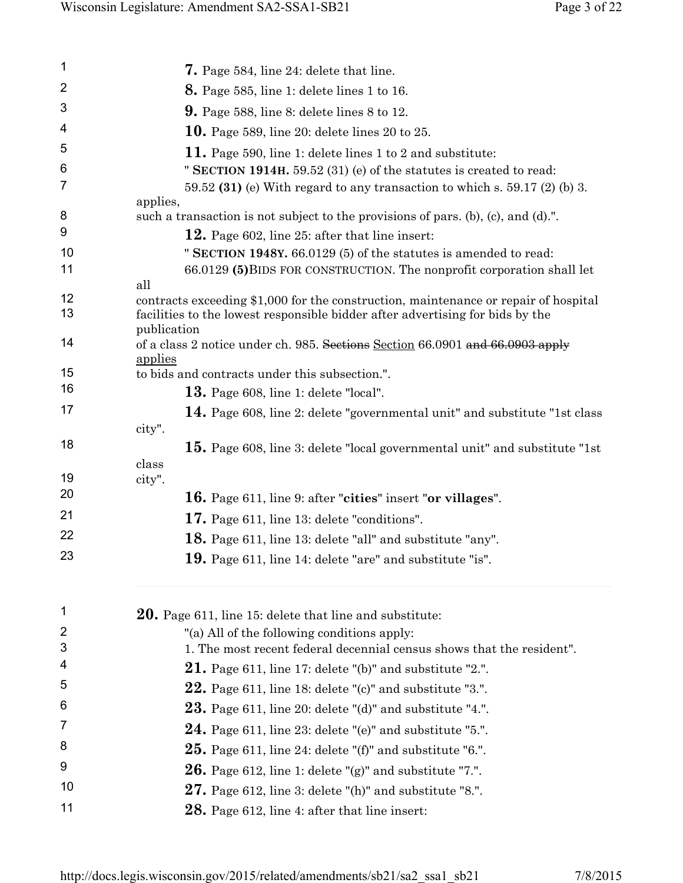| $\mathbf 1$    | <b>7.</b> Page 584, line 24: delete that line.                                                                                                                       |
|----------------|----------------------------------------------------------------------------------------------------------------------------------------------------------------------|
| $\overline{2}$ | <b>8.</b> Page 585, line 1: delete lines 1 to 16.                                                                                                                    |
| 3              | <b>9.</b> Page 588, line 8: delete lines 8 to 12.                                                                                                                    |
| 4              | <b>10.</b> Page 589, line 20: delete lines 20 to 25.                                                                                                                 |
| 5              | 11. Page 590, line 1: delete lines 1 to 2 and substitute:                                                                                                            |
| 6              | " SECTION 1914H. 59.52 (31) (e) of the statutes is created to read:                                                                                                  |
| $\overline{7}$ | 59.52 (31) (e) With regard to any transaction to which s. 59.17 (2) (b) 3.                                                                                           |
| 8              | applies,                                                                                                                                                             |
| 9              | such a transaction is not subject to the provisions of pars. (b), (c), and (d).".                                                                                    |
| 10             | 12. Page 602, line 25: after that line insert:<br>" SECTION 1948Y. 66.0129 (5) of the statutes is amended to read:                                                   |
| 11             | 66.0129 (5) BIDS FOR CONSTRUCTION. The nonprofit corporation shall let                                                                                               |
|                | all                                                                                                                                                                  |
| 12<br>13       | contracts exceeding \$1,000 for the construction, maintenance or repair of hospital<br>facilities to the lowest responsible bidder after advertising for bids by the |
| 14             | publication<br>of a class 2 notice under ch. 985. Sections Section 66.0901 and 66.0903 apply<br>applies                                                              |
| 15             | to bids and contracts under this subsection.".                                                                                                                       |
| 16             | <b>13.</b> Page 608, line 1: delete "local".                                                                                                                         |
| 17             | 14. Page 608, line 2: delete "governmental unit" and substitute "1st class<br>city".                                                                                 |
| 18             | 15. Page 608, line 3: delete "local governmental unit" and substitute "1st"                                                                                          |
|                | class                                                                                                                                                                |
| 19             | city".                                                                                                                                                               |
| 20             | <b>16.</b> Page 611, line 9: after "cities" insert "or villages".                                                                                                    |
| 21             | 17. Page 611, line 13: delete "conditions".                                                                                                                          |
| 22             | <b>18.</b> Page 611, line 13: delete "all" and substitute "any".                                                                                                     |
| 23             | <b>19.</b> Page 611, line 14: delete "are" and substitute "is".                                                                                                      |
| 1<br>2         | <b>20.</b> Page 611, line 15: delete that line and substitute:<br>"(a) All of the following conditions apply:                                                        |
| 3              | 1. The most recent federal decennial census shows that the resident".                                                                                                |
| 4              | <b>21.</b> Page 611, line 17: delete "(b)" and substitute "2.".                                                                                                      |
| 5              | <b>22.</b> Page 611, line 18: delete "(c)" and substitute "3.".                                                                                                      |
| 6              | <b>23.</b> Page 611, line 20: delete "(d)" and substitute "4.".                                                                                                      |
| 7              | 24. Page 611, line 23: delete "(e)" and substitute "5.".                                                                                                             |
| 8              | <b>25.</b> Page 611, line 24: delete "(f)" and substitute "6.".                                                                                                      |
| 9              | <b>26.</b> Page 612, line 1: delete "(g)" and substitute "7.".                                                                                                       |
| 10             | <b>27.</b> Page 612, line 3: delete "(h)" and substitute "8.".                                                                                                       |
| 11             | <b>28.</b> Page 612, line 4: after that line insert:                                                                                                                 |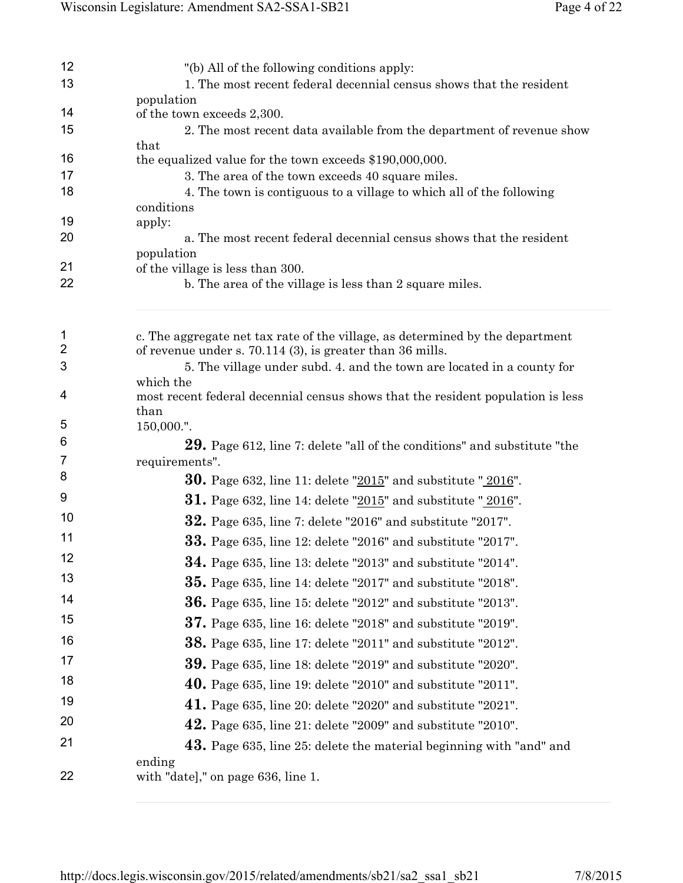| 12<br>13    | "(b) All of the following conditions apply:<br>1. The most recent federal decennial census shows that the resident |
|-------------|--------------------------------------------------------------------------------------------------------------------|
| 14          | population                                                                                                         |
| 15          | of the town exceeds 2,300.<br>2. The most recent data available from the department of revenue show                |
|             | that                                                                                                               |
| 16          | the equalized value for the town exceeds \$190,000,000.                                                            |
| 17          | 3. The area of the town exceeds 40 square miles.                                                                   |
| 18          | 4. The town is contiguous to a village to which all of the following<br>conditions                                 |
| 19          | apply:                                                                                                             |
| 20          | a. The most recent federal decennial census shows that the resident                                                |
|             | population                                                                                                         |
| 21<br>22    | of the village is less than 300.                                                                                   |
|             | b. The area of the village is less than 2 square miles.                                                            |
|             |                                                                                                                    |
| $\mathbf 1$ | c. The aggregate net tax rate of the village, as determined by the department                                      |
| 2<br>3      | of revenue under s. $70.114$ (3), is greater than 36 mills.                                                        |
|             | 5. The village under subd. 4. and the town are located in a county for<br>which the                                |
| 4           | most recent federal decennial census shows that the resident population is less                                    |
|             | than                                                                                                               |
| 5           | 150,000.".                                                                                                         |
| 6           | <b>29.</b> Page 612, line 7: delete "all of the conditions" and substitute "the                                    |
| 7<br>8      | requirements".                                                                                                     |
| 9           | <b>30.</b> Page 632, line 11: delete "2015" and substitute "2016".                                                 |
|             | <b>31.</b> Page 632, line 14: delete " $\frac{2015}{10}$ " and substitute " $\frac{2016}{10}$ ".                   |
| 10          | <b>32.</b> Page 635, line 7: delete "2016" and substitute "2017".                                                  |
| 11          | <b>33.</b> Page 635, line 12: delete "2016" and substitute "2017".                                                 |
| 12          | <b>34.</b> Page 635, line 13: delete "2013" and substitute "2014".                                                 |
| 13          | <b>35.</b> Page 635, line 14: delete "2017" and substitute "2018".                                                 |
| 14          | <b>36.</b> Page 635, line 15: delete "2012" and substitute "2013".                                                 |
| 15          | <b>37.</b> Page 635, line 16: delete "2018" and substitute "2019".                                                 |
| 16          | <b>38.</b> Page 635, line 17: delete "2011" and substitute "2012".                                                 |
| 17          | <b>39.</b> Page 635, line 18: delete "2019" and substitute "2020".                                                 |
| 18          | <b>40.</b> Page 635, line 19: delete "2010" and substitute "2011".                                                 |
| 19          | <b>41.</b> Page 635, line 20: delete "2020" and substitute "2021".                                                 |
| 20          | <b>42.</b> Page 635, line 21: delete "2009" and substitute "2010".                                                 |
| 21          |                                                                                                                    |
|             | 43. Page 635, line 25: delete the material beginning with "and" and<br>ending                                      |
| 22          | with "date]," on page 636, line 1.                                                                                 |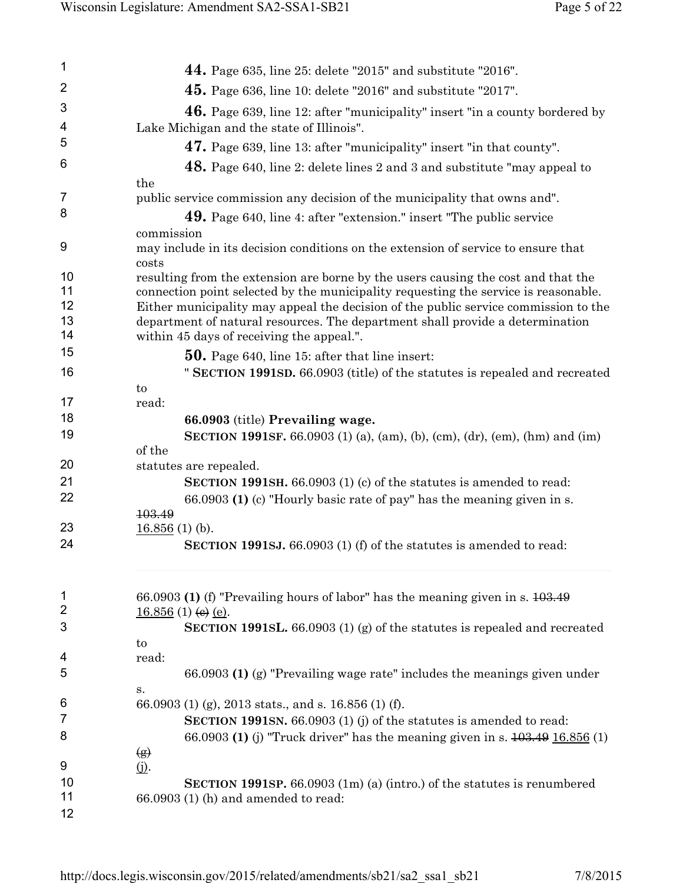| $\mathbf 1$             | 44. Page 635, line 25: delete "2015" and substitute "2016".                                                                                                          |
|-------------------------|----------------------------------------------------------------------------------------------------------------------------------------------------------------------|
| $\overline{\mathbf{c}}$ | <b>45.</b> Page 636, line 10: delete "2016" and substitute "2017".                                                                                                   |
| 3                       | 46. Page 639, line 12: after "municipality" insert "in a county bordered by                                                                                          |
| 4                       | Lake Michigan and the state of Illinois".                                                                                                                            |
| 5                       | 47. Page 639, line 13: after "municipality" insert "in that county".                                                                                                 |
| 6                       | 48. Page 640, line 2: delete lines 2 and 3 and substitute "may appeal to                                                                                             |
|                         | the                                                                                                                                                                  |
| $\overline{7}$          | public service commission any decision of the municipality that owns and".                                                                                           |
| 8                       | <b>49.</b> Page 640, line 4: after "extension." insert "The public service"                                                                                          |
|                         | commission                                                                                                                                                           |
| 9                       | may include in its decision conditions on the extension of service to ensure that<br>costs                                                                           |
| 10                      | resulting from the extension are borne by the users causing the cost and that the                                                                                    |
| 11                      | connection point selected by the municipality requesting the service is reasonable.                                                                                  |
| 12<br>13                | Either municipality may appeal the decision of the public service commission to the<br>department of natural resources. The department shall provide a determination |
| 14                      | within 45 days of receiving the appeal.".                                                                                                                            |
| 15                      | <b>50.</b> Page 640, line 15: after that line insert:                                                                                                                |
| 16                      | " SECTION 1991SD. 66.0903 (title) of the statutes is repealed and recreated                                                                                          |
|                         | to                                                                                                                                                                   |
| 17                      | read:                                                                                                                                                                |
| 18                      | 66.0903 (title) Prevailing wage.                                                                                                                                     |
| 19                      | <b>SECTION 1991SF.</b> 66.0903 (1) (a), (am), (b), (cm), (dr), (em), (hm) and (im)                                                                                   |
|                         | of the                                                                                                                                                               |
| 20                      | statutes are repealed.                                                                                                                                               |
| 21<br>22                | <b>SECTION 1991SH.</b> 66.0903 (1) (c) of the statutes is amended to read:                                                                                           |
|                         | 66.0903 (1) (c) "Hourly basic rate of pay" has the meaning given in s.<br>103.49                                                                                     |
| 23                      | $\underline{16.856}$ (1) (b).                                                                                                                                        |
| 24                      | SECTION 1991SJ. 66.0903 (1) (f) of the statutes is amended to read:                                                                                                  |
| 1                       | 66.0903 (1) (f) "Prevailing hours of labor" has the meaning given in s. $103.49$                                                                                     |
| $\overline{\mathbf{c}}$ | $16.856(1)$ (e) (e).                                                                                                                                                 |
| 3                       | <b>SECTION 1991SL.</b> 66.0903 (1) (g) of the statutes is repealed and recreated                                                                                     |
|                         | to                                                                                                                                                                   |
| 4<br>5                  | read:<br>66.0903 (1) (g) "Prevailing wage rate" includes the meanings given under                                                                                    |
|                         | S.                                                                                                                                                                   |
| 6                       | 66.0903 (1) (g), 2013 stats., and s. 16.856 (1) (f).                                                                                                                 |
| 7                       | <b>SECTION 1991SN.</b> 66.0903 (1) (j) of the statutes is amended to read:                                                                                           |
| 8                       | 66.0903 (1) (j) "Truck driver" has the meaning given in s. $\frac{103.49 \times 16.856}{10}$ (1)                                                                     |
|                         | $\circled{g}$                                                                                                                                                        |
| 9                       | <u>(j)</u> .                                                                                                                                                         |
| 10<br>11                | <b>SECTION 1991SP.</b> $66.0903$ (1m) (a) (intro.) of the statutes is renumbered                                                                                     |
| 12                      | $66.0903$ (1) (h) and amended to read:                                                                                                                               |
|                         |                                                                                                                                                                      |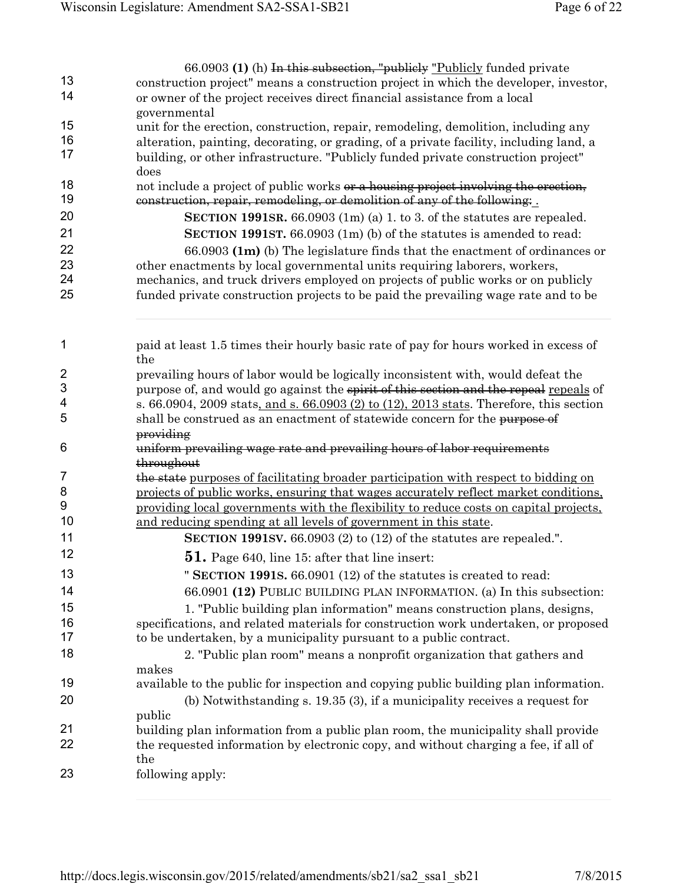|                              | 66.0903 (1) (h) In this subsection, "publicly "Publicly funded private                  |
|------------------------------|-----------------------------------------------------------------------------------------|
| 13                           | construction project" means a construction project in which the developer, investor,    |
| 14                           | or owner of the project receives direct financial assistance from a local               |
|                              | governmental                                                                            |
| 15                           | unit for the erection, construction, repair, remodeling, demolition, including any      |
| 16                           | alteration, painting, decorating, or grading, of a private facility, including land, a  |
| 17                           | building, or other infrastructure. "Publicly funded private construction project"       |
|                              | does                                                                                    |
| 18                           | not include a project of public works or a housing project involving the erection,      |
| 19                           | construction, repair, remodeling, or demolition of any of the following:                |
| 20                           | SECTION 1991SR. $66.0903$ (1m) (a) 1. to 3. of the statutes are repealed.               |
| 21                           | SECTION 1991ST. 66.0903 (1m) (b) of the statutes is amended to read:                    |
| 22                           |                                                                                         |
| 23                           | $66.0903$ (1m) (b) The legislature finds that the enactment of ordinances or            |
| 24                           | other enactments by local governmental units requiring laborers, workers,               |
|                              | mechanics, and truck drivers employed on projects of public works or on publicly        |
| 25                           | funded private construction projects to be paid the prevailing wage rate and to be      |
|                              |                                                                                         |
|                              |                                                                                         |
| 1                            | paid at least 1.5 times their hourly basic rate of pay for hours worked in excess of    |
|                              | the                                                                                     |
| $\overline{\mathbf{c}}$<br>3 | prevailing hours of labor would be logically inconsistent with, would defeat the        |
| 4                            | purpose of, and would go against the spirit of this section and the repeal repeals of   |
|                              | s. 66.0904, 2009 stats, and s. 66.0903 (2) to (12), 2013 stats. Therefore, this section |
| 5                            | shall be construed as an enactment of statewide concern for the purpose of              |
|                              | providing                                                                               |
| 6                            | uniform prevailing wage rate and prevailing hours of labor requirements                 |
| 7                            | throughout                                                                              |
| 8                            | the state purposes of facilitating broader participation with respect to bidding on     |
| 9                            | projects of public works, ensuring that wages accurately reflect market conditions.     |
| 10                           | providing local governments with the flexibility to reduce costs on capital projects.   |
|                              | and reducing spending at all levels of government in this state.                        |
| 11                           | SECTION 1991SV. $66.0903$ (2) to (12) of the statutes are repealed.".                   |
| 12                           | <b>51.</b> Page 640, line 15: after that line insert:                                   |
| 13                           | " SECTION 1991S. 66.0901 (12) of the statutes is created to read:                       |
| 14                           | 66.0901 (12) PUBLIC BUILDING PLAN INFORMATION. (a) In this subsection:                  |
| 15                           | 1. "Public building plan information" means construction plans, designs,                |
| 16                           | specifications, and related materials for construction work undertaken, or proposed     |
| 17                           | to be undertaken, by a municipality pursuant to a public contract.                      |
| 18                           | 2. "Public plan room" means a nonprofit organization that gathers and                   |
|                              | makes                                                                                   |
| 19                           | available to the public for inspection and copying public building plan information.    |
| 20                           | (b) Notwithstanding s. $19.35(3)$ , if a municipality receives a request for            |
|                              | public                                                                                  |
| 21                           | building plan information from a public plan room, the municipality shall provide       |
| 22                           | the requested information by electronic copy, and without charging a fee, if all of     |
|                              | the                                                                                     |
| 23                           | following apply:                                                                        |
|                              |                                                                                         |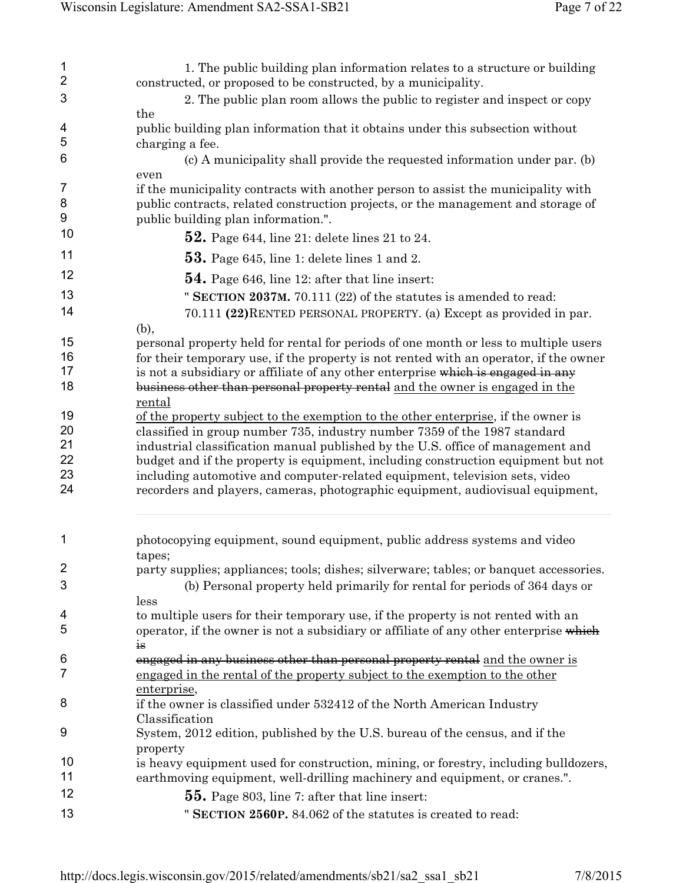| $\mathbf{1}$   | 1. The public building plan information relates to a structure or building                                                                                                |
|----------------|---------------------------------------------------------------------------------------------------------------------------------------------------------------------------|
| $\overline{2}$ | constructed, or proposed to be constructed, by a municipality.                                                                                                            |
| 3              | 2. The public plan room allows the public to register and inspect or copy                                                                                                 |
|                | the                                                                                                                                                                       |
| 4              | public building plan information that it obtains under this subsection without                                                                                            |
| 5              | charging a fee.                                                                                                                                                           |
| 6              | (c) A municipality shall provide the requested information under par. (b)                                                                                                 |
| $\overline{7}$ | even<br>if the municipality contracts with another person to assist the municipality with                                                                                 |
| 8              | public contracts, related construction projects, or the management and storage of                                                                                         |
| 9              | public building plan information.".                                                                                                                                       |
| 10             | <b>52.</b> Page 644, line 21: delete lines 21 to 24.                                                                                                                      |
| 11             |                                                                                                                                                                           |
| 12             | <b>53.</b> Page 645, line 1: delete lines 1 and 2.                                                                                                                        |
|                | <b>54.</b> Page 646, line 12: after that line insert:                                                                                                                     |
| 13             | " SECTION 2037M. 70.111 (22) of the statutes is amended to read:                                                                                                          |
| 14             | 70.111 (22) RENTED PERSONAL PROPERTY. (a) Except as provided in par.                                                                                                      |
|                | $(b)$ ,                                                                                                                                                                   |
| 15<br>16       | personal property held for rental for periods of one month or less to multiple users                                                                                      |
| 17             | for their temporary use, if the property is not rented with an operator, if the owner<br>is not a subsidiary or affiliate of any other enterprise which is engaged in any |
| 18             | business other than personal property rental and the owner is engaged in the                                                                                              |
|                | rental                                                                                                                                                                    |
| 19             | of the property subject to the exemption to the other enterprise, if the owner is                                                                                         |
| 20             | classified in group number 735, industry number 7359 of the 1987 standard                                                                                                 |
| 21             | industrial classification manual published by the U.S. office of management and                                                                                           |
| 22             | budget and if the property is equipment, including construction equipment but not                                                                                         |
| 23             | including automotive and computer-related equipment, television sets, video                                                                                               |
| 24             | recorders and players, cameras, photographic equipment, audiovisual equipment,                                                                                            |
|                |                                                                                                                                                                           |
| 1              | photocopying equipment, sound equipment, public address systems and video                                                                                                 |
|                | tapes;                                                                                                                                                                    |
| $\overline{2}$ | party supplies; appliances; tools; dishes; silverware; tables; or banquet accessories.                                                                                    |
| 3              | (b) Personal property held primarily for rental for periods of 364 days or                                                                                                |
|                | less                                                                                                                                                                      |
| 4              | to multiple users for their temporary use, if the property is not rented with an                                                                                          |
| 5              | operator, if the owner is not a subsidiary or affiliate of any other enterprise which                                                                                     |
|                | $\mathbf{i}$ s                                                                                                                                                            |
| 6              | engaged in any business other than personal property rental and the owner is                                                                                              |
| 7              | engaged in the rental of the property subject to the exemption to the other                                                                                               |
| 8              | enterprise,                                                                                                                                                               |
|                | if the owner is classified under 532412 of the North American Industry<br>Classification                                                                                  |
| 9              | System, 2012 edition, published by the U.S. bureau of the census, and if the                                                                                              |
|                | property                                                                                                                                                                  |
| 10             | is heavy equipment used for construction, mining, or forestry, including bulldozers,                                                                                      |
| 11             | earthmoving equipment, well-drilling machinery and equipment, or cranes.".                                                                                                |
| 12             | <b>55.</b> Page 803, line 7: after that line insert:                                                                                                                      |
| 13             | " SECTION 2560P. 84.062 of the statutes is created to read:                                                                                                               |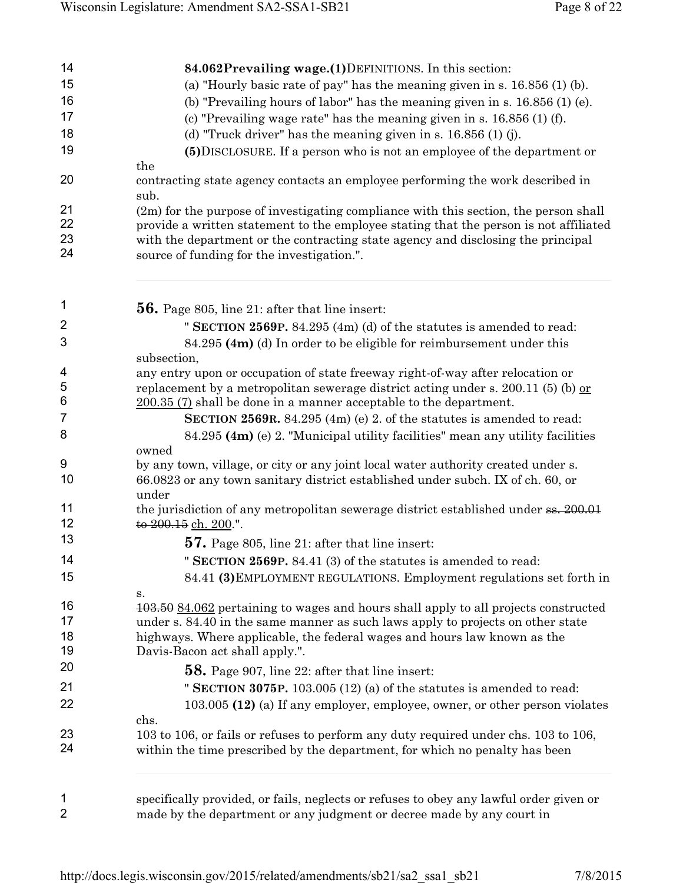| 14                  | 84.062Prevailing wage.(1)DEFINITIONS. In this section:                                                                                                          |
|---------------------|-----------------------------------------------------------------------------------------------------------------------------------------------------------------|
| 15                  | (a) "Hourly basic rate of pay" has the meaning given in s. $16.856(1)$ (b).                                                                                     |
| 16                  | (b) "Prevailing hours of labor" has the meaning given in s. $16.856$ (1) (e).                                                                                   |
| 17                  | (c) "Prevailing wage rate" has the meaning given in s. $16.856(1)$ (f).                                                                                         |
| 18                  |                                                                                                                                                                 |
|                     | (d) "Truck driver" has the meaning given in s. $16.856(1)$ (j).                                                                                                 |
| 19                  | (5) DISCLOSURE. If a person who is not an employee of the department or                                                                                         |
|                     | the                                                                                                                                                             |
| 20                  | contracting state agency contacts an employee performing the work described in                                                                                  |
|                     | sub.                                                                                                                                                            |
| 21                  | $(2m)$ for the purpose of investigating compliance with this section, the person shall                                                                          |
| 22                  | provide a written statement to the employee stating that the person is not affiliated                                                                           |
| 23                  | with the department or the contracting state agency and disclosing the principal                                                                                |
| 24                  | source of funding for the investigation.".                                                                                                                      |
| $\mathbf 1$         | <b>56.</b> Page 805, line 21: after that line insert:                                                                                                           |
|                     |                                                                                                                                                                 |
| 2                   | " SECTION 2569P. 84.295 (4m) (d) of the statutes is amended to read:                                                                                            |
| 3                   | 84.295 (4m) (d) In order to be eligible for reimbursement under this                                                                                            |
|                     | subsection,                                                                                                                                                     |
| 4                   | any entry upon or occupation of state freeway right-of-way after relocation or                                                                                  |
| 5                   | replacement by a metropolitan sewerage district acting under s. 200.11 (5) (b) or                                                                               |
| 6                   | $200.35$ (7) shall be done in a manner acceptable to the department.                                                                                            |
| $\overline{7}$      | SECTION 2569R. 84.295 (4m) (e) 2. of the statutes is amended to read:                                                                                           |
| 8                   | 84.295 (4m) (e) 2. "Municipal utility facilities" mean any utility facilities                                                                                   |
|                     | owned                                                                                                                                                           |
| 9                   | by any town, village, or city or any joint local water authority created under s.                                                                               |
| 10                  | 66.0823 or any town sanitary district established under subch. IX of ch. 60, or                                                                                 |
|                     | under                                                                                                                                                           |
| 11                  | the jurisdiction of any metropolitan sewerage district established under ss. 200.01                                                                             |
| 12                  | to 200.15 ch. 200.".                                                                                                                                            |
| 13                  | <b>57.</b> Page 805, line 21: after that line insert:                                                                                                           |
| 14                  | <b>SECTION 2569P.</b> 84.41 (3) of the statutes is amended to read:                                                                                             |
| 15                  | 84.41 (3) EMPLOYMENT REGULATIONS. Employment regulations set forth in                                                                                           |
|                     |                                                                                                                                                                 |
| 16                  | s.<br>103.50 84.062 pertaining to wages and hours shall apply to all projects constructed                                                                       |
| 17                  | under s. 84.40 in the same manner as such laws apply to projects on other state                                                                                 |
| 18                  | highways. Where applicable, the federal wages and hours law known as the                                                                                        |
| 19                  | Davis-Bacon act shall apply.".                                                                                                                                  |
| 20                  |                                                                                                                                                                 |
|                     | <b>58.</b> Page 907, line 22: after that line insert:                                                                                                           |
| 21                  | " SECTION 3075P. 103.005 (12) (a) of the statutes is amended to read:                                                                                           |
| 22                  | 103.005 (12) (a) If any employer, employee, owner, or other person violates                                                                                     |
|                     | chs.                                                                                                                                                            |
| 23                  | 103 to 106, or fails or refuses to perform any duty required under chs. 103 to 106,                                                                             |
| 24                  | within the time prescribed by the department, for which no penalty has been                                                                                     |
|                     |                                                                                                                                                                 |
| 1<br>$\overline{2}$ | specifically provided, or fails, neglects or refuses to obey any lawful order given or<br>made by the department or any judgment or decree made by any court in |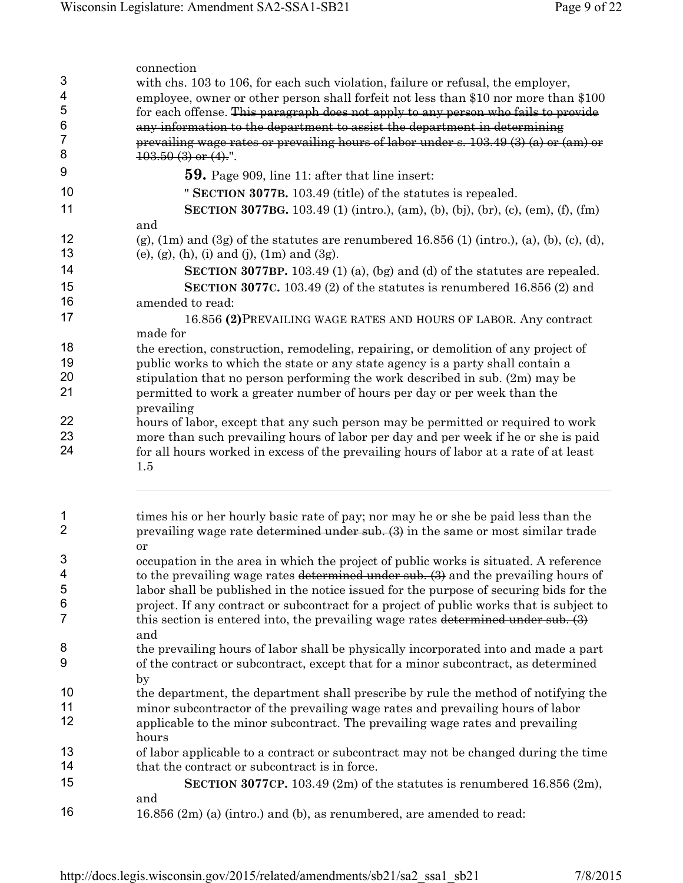|                | connection                                                                                     |
|----------------|------------------------------------------------------------------------------------------------|
| 3              | with chs. 103 to 106, for each such violation, failure or refusal, the employer,               |
| 4              | employee, owner or other person shall forfeit not less than \$10 nor more than \$100           |
| 5              | for each offense. This paragraph does not apply to any person who fails to provide             |
| 6              |                                                                                                |
| $\overline{7}$ | any information to the department to assist the department in determining                      |
|                | prevailing wage rates or prevailing hours of labor under s. 103.49 (3) (a) or (am) or          |
| 8              | $103.50(3)$ or $(4)$ .".                                                                       |
| 9              | <b>59.</b> Page 909, line 11: after that line insert:                                          |
| 10             | " SECTION 3077B. 103.49 (title) of the statutes is repealed.                                   |
|                |                                                                                                |
| 11             | <b>SECTION 3077BG.</b> 103.49 (1) (intro.), (am), (b), (bj), (br), (c), (em), (f), (fm)        |
|                | and                                                                                            |
| 12             | (g), $(1m)$ and $(3g)$ of the statutes are renumbered 16.856 (1) (intro.), (a), (b), (c), (d), |
| 13             | (e), (g), (h), (i) and (j), $(1m)$ and $(3g)$ .                                                |
| 14             | <b>SECTION 3077BP.</b> 103.49 (1) (a), (bg) and (d) of the statutes are repealed.              |
| 15             | SECTION 3077C. 103.49 (2) of the statutes is renumbered 16.856 (2) and                         |
| 16             | amended to read:                                                                               |
|                |                                                                                                |
| 17             | 16.856 (2) PREVAILING WAGE RATES AND HOURS OF LABOR. Any contract                              |
|                | made for                                                                                       |
| 18             | the erection, construction, remodeling, repairing, or demolition of any project of             |
| 19             | public works to which the state or any state agency is a party shall contain a                 |
| 20             | stipulation that no person performing the work described in sub. (2m) may be                   |
| 21             | permitted to work a greater number of hours per day or per week than the                       |
|                | prevailing                                                                                     |
| 22             | hours of labor, except that any such person may be permitted or required to work               |
| 23             | more than such prevailing hours of labor per day and per week if he or she is paid             |
| 24             |                                                                                                |
|                | for all hours worked in excess of the prevailing hours of labor at a rate of at least          |
|                | 1.5                                                                                            |
|                |                                                                                                |
|                |                                                                                                |
| 1              | times his or her hourly basic rate of pay; nor may he or she be paid less than the             |
| $\overline{2}$ | prevailing wage rate determined under sub. (3) in the same or most similar trade               |
|                | or                                                                                             |
| 3              | occupation in the area in which the project of public works is situated. A reference           |
| 4              | to the prevailing wage rates determined under $sub.$ (3) and the prevailing hours of           |
| 5              | labor shall be published in the notice issued for the purpose of securing bids for the         |
| 6              | project. If any contract or subcontract for a project of public works that is subject to       |
| 7              | this section is entered into, the prevailing wage rates determined under sub. $(3)$            |
|                | and                                                                                            |
| 8              | the prevailing hours of labor shall be physically incorporated into and made a part            |
| 9              | of the contract or subcontract, except that for a minor subcontract, as determined             |
|                |                                                                                                |
|                | by                                                                                             |
| 10             | the department, the department shall prescribe by rule the method of notifying the             |
| 11             | minor subcontractor of the prevailing wage rates and prevailing hours of labor                 |
| 12             | applicable to the minor subcontract. The prevailing wage rates and prevailing                  |
|                | hours                                                                                          |
| 13             | of labor applicable to a contract or subcontract may not be changed during the time            |
| 14             | that the contract or subcontract is in force.                                                  |
| 15             | SECTION 3077CP. 103.49 (2m) of the statutes is renumbered 16.856 (2m),                         |
|                | and                                                                                            |
| 16             |                                                                                                |
|                | $16.856$ (2m) (a) (intro.) and (b), as renumbered, are amended to read:                        |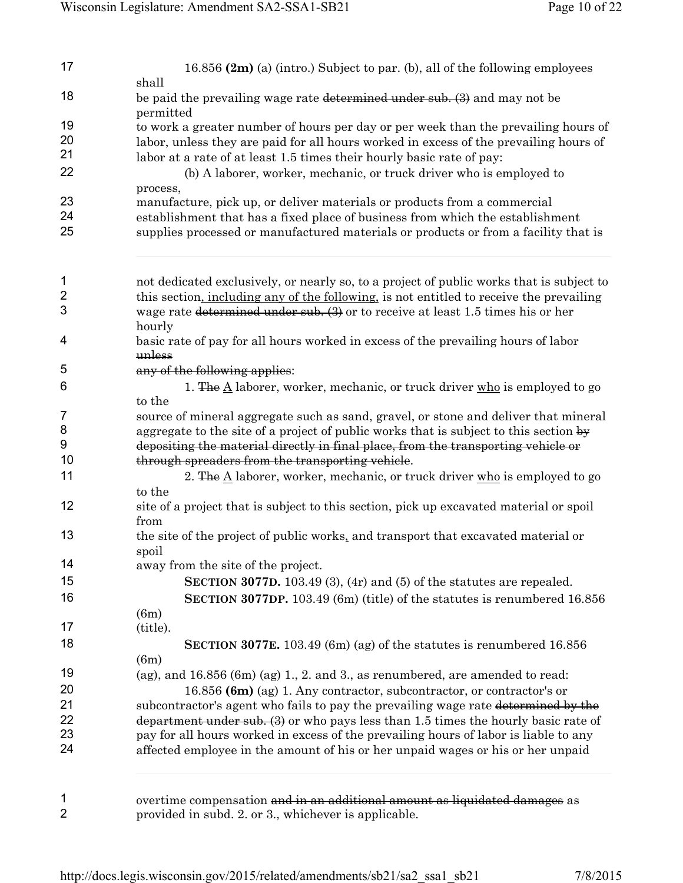| 17                      | 16.856 $(2m)$ (a) (intro.) Subject to par. (b), all of the following employees                         |
|-------------------------|--------------------------------------------------------------------------------------------------------|
| 18                      | shall                                                                                                  |
|                         | be paid the prevailing wage rate determined under sub. (3) and may not be<br>permitted                 |
| 19                      | to work a greater number of hours per day or per week than the prevailing hours of                     |
| 20                      | labor, unless they are paid for all hours worked in excess of the prevailing hours of                  |
| 21                      | labor at a rate of at least 1.5 times their hourly basic rate of pay:                                  |
| 22                      |                                                                                                        |
|                         | (b) A laborer, worker, mechanic, or truck driver who is employed to                                    |
| 23                      | process,                                                                                               |
| 24                      | manufacture, pick up, or deliver materials or products from a commercial                               |
|                         | establishment that has a fixed place of business from which the establishment                          |
| 25                      | supplies processed or manufactured materials or products or from a facility that is                    |
| $\mathbf 1$             | not dedicated exclusively, or nearly so, to a project of public works that is subject to               |
| $\overline{\mathbf{c}}$ | this section, including any of the following, is not entitled to receive the prevailing                |
| 3                       | wage rate determined under sub. $(3)$ or to receive at least 1.5 times his or her                      |
|                         | hourly                                                                                                 |
| 4                       | basic rate of pay for all hours worked in excess of the prevailing hours of labor                      |
|                         | unless                                                                                                 |
| 5                       | any of the following applies:                                                                          |
| 6                       | 1. The $\underline{A}$ laborer, worker, mechanic, or truck driver $\underline{who}$ is employed to go  |
|                         | to the                                                                                                 |
| $\overline{7}$          | source of mineral aggregate such as sand, gravel, or stone and deliver that mineral                    |
| 8                       | aggregate to the site of a project of public works that is subject to this section by                  |
| 9                       | depositing the material directly in final place, from the transporting vehicle or                      |
| 10                      | through spreaders from the transporting vehicle.                                                       |
| 11                      | 2. The $\underline{A}$ laborer, worker, mechanic, or truck driver $\underline{w}$ ho is employed to go |
|                         | to the                                                                                                 |
| 12                      | site of a project that is subject to this section, pick up excavated material or spoil                 |
|                         | from                                                                                                   |
| 13                      | the site of the project of public works, and transport that excavated material or                      |
|                         | spoil                                                                                                  |
| 14                      | away from the site of the project.                                                                     |
| 15                      |                                                                                                        |
|                         | <b>SECTION 3077D.</b> 103.49 (3), (4r) and (5) of the statutes are repealed.                           |
| 16                      | <b>SECTION 3077DP.</b> 103.49 (6m) (title) of the statutes is renumbered 16.856                        |
|                         | (6m)                                                                                                   |
| 17                      | (title).                                                                                               |
| 18                      | SECTION 3077E. 103.49 (6m) (ag) of the statutes is renumbered $16.856$                                 |
|                         | (6m)                                                                                                   |
| 19                      | (ag), and $16.856$ (6m) (ag) 1., 2. and 3., as renumbered, are amended to read:                        |
| 20                      | 16.856 (6m) (ag) 1. Any contractor, subcontractor, or contractor's or                                  |
| 21                      | subcontractor's agent who fails to pay the prevailing wage rate determined by the                      |
| 22                      | $d$ epartment under sub. $(3)$ or who pays less than 1.5 times the hourly basic rate of                |
| 23                      | pay for all hours worked in excess of the prevailing hours of labor is liable to any                   |
| 24                      | affected employee in the amount of his or her unpaid wages or his or her unpaid                        |
|                         |                                                                                                        |
|                         |                                                                                                        |
|                         |                                                                                                        |

overtime compensation and in an additional amount as liquidated damages as provided in subd. 2. or 3., whichever is applicable. 1 2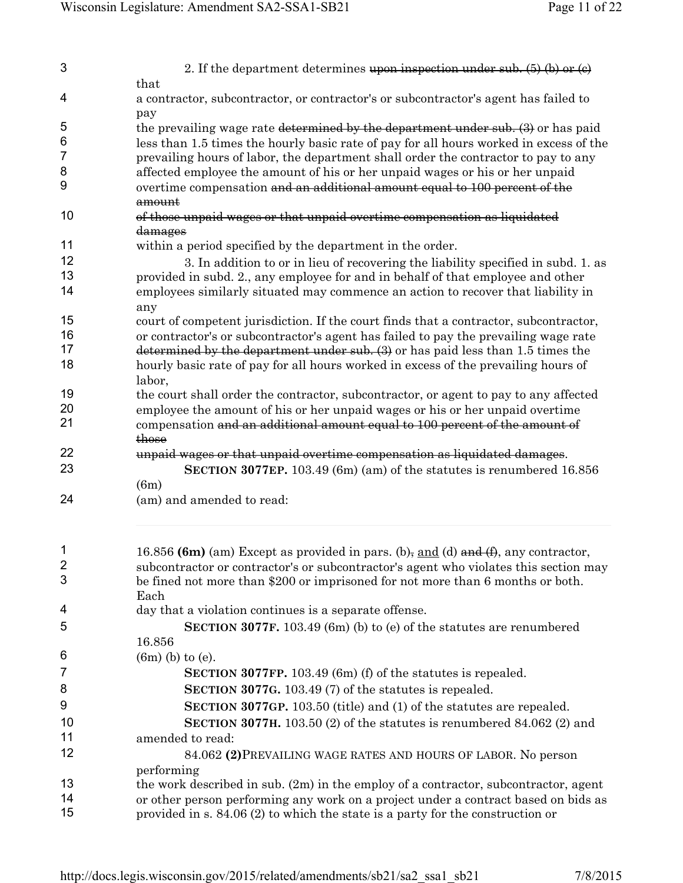| 3              | 2. If the department determines upon inspection under sub. $(5)$ (b) or (c)                                                                                                 |
|----------------|-----------------------------------------------------------------------------------------------------------------------------------------------------------------------------|
|                | that                                                                                                                                                                        |
| 4              | a contractor, subcontractor, or contractor's or subcontractor's agent has failed to                                                                                         |
|                | pay                                                                                                                                                                         |
| 5              | the prevailing wage rate determined by the department under sub. (3) or has paid                                                                                            |
| 6              | less than 1.5 times the hourly basic rate of pay for all hours worked in excess of the                                                                                      |
| $\overline{7}$ | prevailing hours of labor, the department shall order the contractor to pay to any                                                                                          |
| 8<br>9         | affected employee the amount of his or her unpaid wages or his or her unpaid                                                                                                |
|                | overtime compensation and an additional amount equal to 100 percent of the                                                                                                  |
|                | amount                                                                                                                                                                      |
| 10             | of those unpaid wages or that unpaid overtime compensation as liquidated                                                                                                    |
| 11             | damages                                                                                                                                                                     |
|                | within a period specified by the department in the order.                                                                                                                   |
| 12             | 3. In addition to or in lieu of recovering the liability specified in subd. 1. as                                                                                           |
| 13             | provided in subd. 2., any employee for and in behalf of that employee and other                                                                                             |
| 14             | employees similarly situated may commence an action to recover that liability in                                                                                            |
| 15             | any                                                                                                                                                                         |
| 16             | court of competent jurisdiction. If the court finds that a contractor, subcontractor,                                                                                       |
| 17             | or contractor's or subcontractor's agent has failed to pay the prevailing wage rate                                                                                         |
| 18             | determined by the department under sub. (3) or has paid less than 1.5 times the                                                                                             |
|                | hourly basic rate of pay for all hours worked in excess of the prevailing hours of<br>labor,                                                                                |
| 19             | the court shall order the contractor, subcontractor, or agent to pay to any affected                                                                                        |
| 20             | employee the amount of his or her unpaid wages or his or her unpaid overtime                                                                                                |
| 21             | compensation and an additional amount equal to 100 percent of the amount of                                                                                                 |
|                | those                                                                                                                                                                       |
|                |                                                                                                                                                                             |
|                |                                                                                                                                                                             |
| 22             | unpaid wages or that unpaid overtime compensation as liquidated damages.                                                                                                    |
| 23             | SECTION 3077EP. 103.49 (6m) (am) of the statutes is renumbered 16.856                                                                                                       |
| 24             | (6m)                                                                                                                                                                        |
|                | (am) and amended to read:                                                                                                                                                   |
|                |                                                                                                                                                                             |
| 1              | 16.856 (6m) (am) Except as provided in pars. (b), and (d) and $(f)$ , any contractor,                                                                                       |
| 2              | subcontractor or contractor's or subcontractor's agent who violates this section may                                                                                        |
| 3              | be fined not more than \$200 or imprisoned for not more than 6 months or both.                                                                                              |
|                | Each                                                                                                                                                                        |
| 4              | day that a violation continues is a separate offense.                                                                                                                       |
| 5              | SECTION 3077F. 103.49 (6m) (b) to (e) of the statutes are renumbered                                                                                                        |
|                | 16.856                                                                                                                                                                      |
| 6              | $(6m)$ (b) to (e).                                                                                                                                                          |
| $\overline{7}$ | <b>SECTION 3077FP.</b> 103.49 (6m) (f) of the statutes is repealed.                                                                                                         |
| 8              |                                                                                                                                                                             |
|                | SECTION 3077G. 103.49 (7) of the statutes is repealed.                                                                                                                      |
| 9              | <b>SECTION 3077GP.</b> 103.50 (title) and (1) of the statutes are repealed.                                                                                                 |
| 10             | SECTION 3077H. $103.50$ (2) of the statutes is renumbered 84.062 (2) and                                                                                                    |
| 11             | amended to read:                                                                                                                                                            |
| 12             | 84.062 (2) PREVAILING WAGE RATES AND HOURS OF LABOR. No person                                                                                                              |
|                | performing                                                                                                                                                                  |
| 13<br>14       | the work described in sub. $(2m)$ in the employ of a contractor, subcontractor, agent<br>or other person performing any work on a project under a contract based on bids as |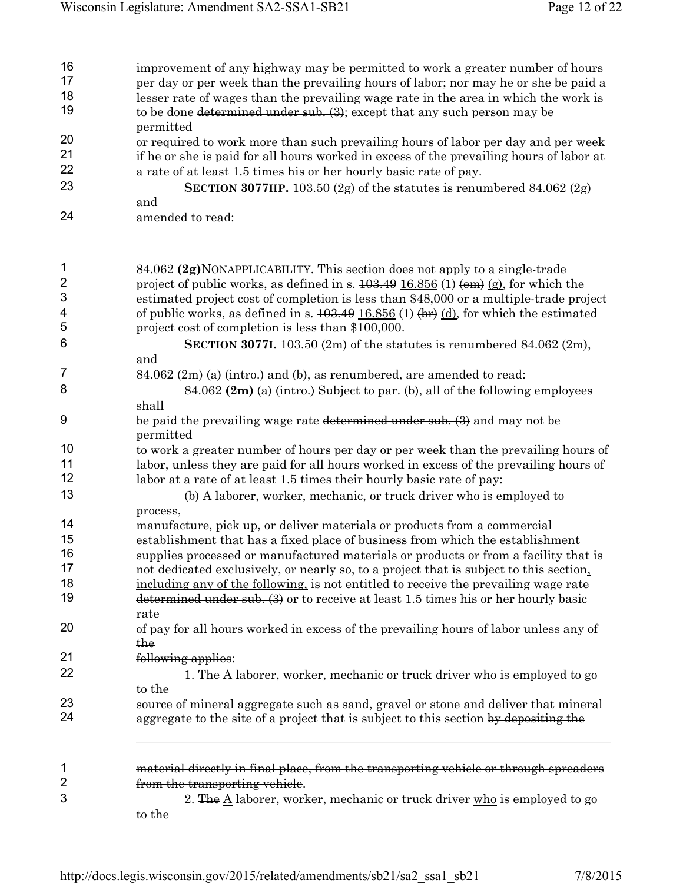| 16<br>17<br>18<br>19 | improvement of any highway may be permitted to work a greater number of hours<br>per day or per week than the prevailing hours of labor; nor may he or she be paid a<br>lesser rate of wages than the prevailing wage rate in the area in which the work is<br>to be done determined under sub. (3); except that any such person may be<br>permitted |  |  |
|----------------------|------------------------------------------------------------------------------------------------------------------------------------------------------------------------------------------------------------------------------------------------------------------------------------------------------------------------------------------------------|--|--|
| 20<br>21<br>22<br>23 | or required to work more than such prevailing hours of labor per day and per week<br>if he or she is paid for all hours worked in excess of the prevailing hours of labor at<br>a rate of at least 1.5 times his or her hourly basic rate of pay.<br>SECTION 3077HP. 103.50 (2g) of the statutes is renumbered 84.062 (2g)                           |  |  |
|                      | and                                                                                                                                                                                                                                                                                                                                                  |  |  |
| 24                   | amended to read:                                                                                                                                                                                                                                                                                                                                     |  |  |
| 1                    | 84.062 (2g)NONAPPLICABILITY. This section does not apply to a single-trade                                                                                                                                                                                                                                                                           |  |  |
|                      | project of public works, as defined in s. $\frac{103.49 \, 16.856}{10.856}$ (1) $\left(\frac{cm}{g}\right)$ , for which the                                                                                                                                                                                                                          |  |  |
| 2<br>3               | estimated project cost of completion is less than \$48,000 or a multiple-trade project                                                                                                                                                                                                                                                               |  |  |
|                      | of public works, as defined in s. $103.49 \underline{16.856}$ (1) $\left(\frac{b}{r}\right)$ (d), for which the estimated                                                                                                                                                                                                                            |  |  |
| 4<br>5               | project cost of completion is less than \$100,000.                                                                                                                                                                                                                                                                                                   |  |  |
| 6                    | SECTION 30771. 103.50 $(2m)$ of the statutes is renumbered 84.062 $(2m)$ ,                                                                                                                                                                                                                                                                           |  |  |
|                      | and                                                                                                                                                                                                                                                                                                                                                  |  |  |
| 7                    | 84.062 (2m) (a) (intro.) and (b), as renumbered, are amended to read:                                                                                                                                                                                                                                                                                |  |  |
| 8                    | 84.062 (2m) (a) (intro.) Subject to par. (b), all of the following employees<br>shall                                                                                                                                                                                                                                                                |  |  |
| 9                    | be paid the prevailing wage rate determined under sub. (3) and may not be<br>permitted                                                                                                                                                                                                                                                               |  |  |
| 10                   | to work a greater number of hours per day or per week than the prevailing hours of                                                                                                                                                                                                                                                                   |  |  |
| 11<br>12             | labor, unless they are paid for all hours worked in excess of the prevailing hours of<br>labor at a rate of at least 1.5 times their hourly basic rate of pay:                                                                                                                                                                                       |  |  |
| 13                   | (b) A laborer, worker, mechanic, or truck driver who is employed to                                                                                                                                                                                                                                                                                  |  |  |
|                      | process,                                                                                                                                                                                                                                                                                                                                             |  |  |
| 14                   | manufacture, pick up, or deliver materials or products from a commercial                                                                                                                                                                                                                                                                             |  |  |
| 15                   | establishment that has a fixed place of business from which the establishment                                                                                                                                                                                                                                                                        |  |  |
| 16                   | supplies processed or manufactured materials or products or from a facility that is                                                                                                                                                                                                                                                                  |  |  |
| 17                   | not dedicated exclusively, or nearly so, to a project that is subject to this section,                                                                                                                                                                                                                                                               |  |  |
| 18                   | including any of the following, is not entitled to receive the prevailing wage rate                                                                                                                                                                                                                                                                  |  |  |
| 19                   | determined under sub. (3) or to receive at least 1.5 times his or her hourly basic<br>rate                                                                                                                                                                                                                                                           |  |  |
| 20                   | of pay for all hours worked in excess of the prevailing hours of labor unless any of<br>the                                                                                                                                                                                                                                                          |  |  |
| 21                   | following applies:                                                                                                                                                                                                                                                                                                                                   |  |  |
| 22                   | 1. The $\underline{A}$ laborer, worker, mechanic or truck driver $\underline{who}$ is employed to go                                                                                                                                                                                                                                                 |  |  |
|                      | to the                                                                                                                                                                                                                                                                                                                                               |  |  |
| 23<br>24             | source of mineral aggregate such as sand, gravel or stone and deliver that mineral<br>aggregate to the site of a project that is subject to this section by depositing the                                                                                                                                                                           |  |  |
|                      |                                                                                                                                                                                                                                                                                                                                                      |  |  |
| 1                    | material directly in final place, from the transporting vehicle or through spreaders                                                                                                                                                                                                                                                                 |  |  |
| $\mathbf 2$          | from the transporting vehicle.                                                                                                                                                                                                                                                                                                                       |  |  |
| 3                    | 2. The $\underline{A}$ laborer, worker, mechanic or truck driver $\underline{who}$ is employed to go                                                                                                                                                                                                                                                 |  |  |
|                      | to the                                                                                                                                                                                                                                                                                                                                               |  |  |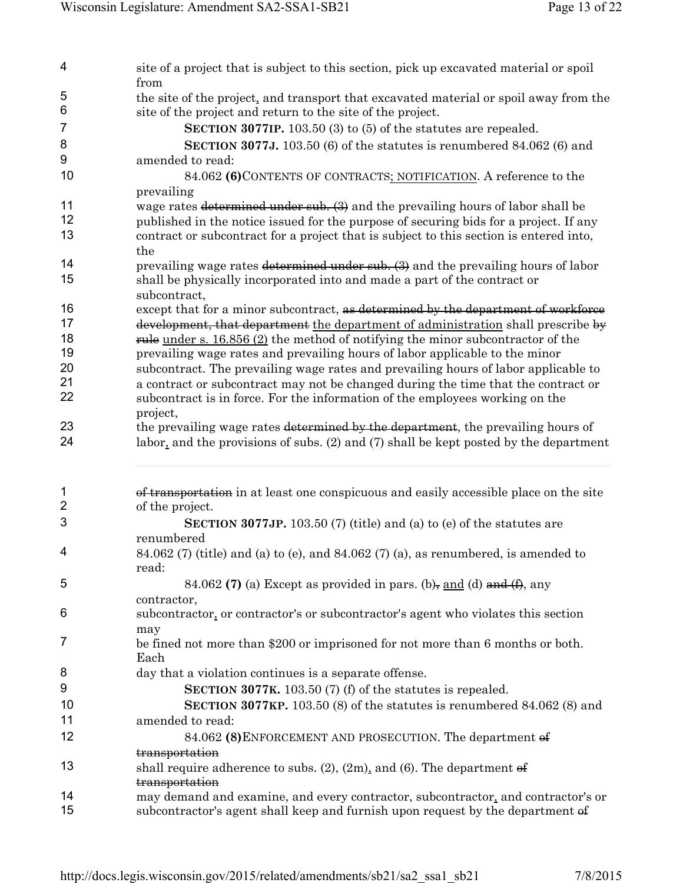| 4                       | site of a project that is subject to this section, pick up excavated material or spoil<br>from    |
|-------------------------|---------------------------------------------------------------------------------------------------|
| 5                       | the site of the project, and transport that excavated material or spoil away from the             |
| 6                       | site of the project and return to the site of the project.                                        |
| $\overline{7}$          | SECTION 3077IP. $103.50(3)$ to $(5)$ of the statutes are repealed.                                |
| 8                       | SECTION 3077J. 103.50 (6) of the statutes is renumbered $84.062$ (6) and                          |
| 9                       | amended to read:                                                                                  |
| 10                      | 84.062 (6) CONTENTS OF CONTRACTS; NOTIFICATION. A reference to the<br>prevailing                  |
| 11                      | wage rates determined under sub. (3) and the prevailing hours of labor shall be                   |
| 12                      | published in the notice issued for the purpose of securing bids for a project. If any             |
| 13                      | contract or subcontract for a project that is subject to this section is entered into,<br>the     |
| 14                      | prevailing wage rates determined under sub. (3) and the prevailing hours of labor                 |
| 15                      | shall be physically incorporated into and made a part of the contract or<br>subcontract,          |
| 16                      | except that for a minor subcontract, as determined by the department of workforce                 |
| 17                      | development, that department the department of administration shall prescribe by                  |
| 18                      | rule under s. $16.856$ (2) the method of notifying the minor subcontractor of the                 |
| 19                      | prevailing wage rates and prevailing hours of labor applicable to the minor                       |
| 20                      | subcontract. The prevailing wage rates and prevailing hours of labor applicable to                |
| 21                      | a contract or subcontract may not be changed during the time that the contract or                 |
| 22                      | subcontract is in force. For the information of the employees working on the<br>project,          |
| 23                      | the prevailing wage rates determined by the department, the prevailing hours of                   |
| 24                      | labor, and the provisions of subs. $(2)$ and $(7)$ shall be kept posted by the department         |
| 1                       | of transportation in at least one conspicuous and easily accessible place on the site             |
| $\overline{\mathbf{c}}$ | of the project.                                                                                   |
| 3                       | <b>SECTION 3077JP.</b> 103.50 $(7)$ (title) and (a) to (e) of the statutes are<br>renumbered      |
| 4                       | $84.062$ (7) (title) and (a) to (e), and $84.062$ (7) (a), as renumbered, is amended to<br>read:  |
| 5                       | 84.062 (7) (a) Except as provided in pars. (b), and (d) and $(f)$ , any<br>contractor,            |
| 6                       | subcontractor, or contractor's or subcontractor's agent who violates this section<br>may          |
| 7                       | be fined not more than \$200 or imprisoned for not more than 6 months or both.<br>Each            |
| 8                       | day that a violation continues is a separate offense.                                             |
| 9                       | SECTION 3077K. $103.50$ (7) (f) of the statutes is repealed.                                      |
| 10                      | SECTION 3077KP. 103.50 (8) of the statutes is renumbered 84.062 (8) and                           |
| 11                      | amended to read:                                                                                  |
| 12                      | 84.062 (8) ENFORCEMENT AND PROSECUTION. The department of                                         |
|                         | transportation                                                                                    |
| 13                      | shall require adherence to subs. $(2)$ , $(2m)$ , and $(6)$ . The department of<br>transportation |
| 14                      | may demand and examine, and every contractor, subcontractor, and contractor's or                  |
| 15                      | subcontractor's agent shall keep and furnish upon request by the department of                    |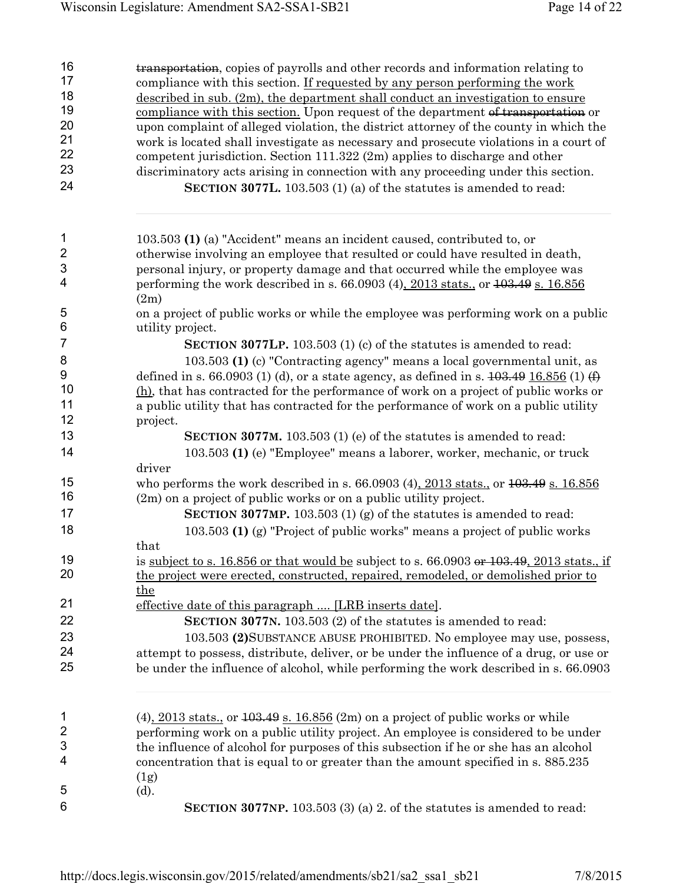| 16<br>17<br>18<br>19<br>20<br>21<br>22<br>23<br>24 | <b>transportation</b> , copies of payrolls and other records and information relating to<br>compliance with this section. If requested by any person performing the work<br>described in sub. $(2m)$ , the department shall conduct an investigation to ensure<br>compliance with this section. Upon request of the department of transportation or<br>upon complaint of alleged violation, the district attorney of the county in which the<br>work is located shall investigate as necessary and prosecute violations in a court of<br>competent jurisdiction. Section 111.322 (2m) applies to discharge and other<br>discriminatory acts arising in connection with any proceeding under this section.<br><b>SECTION 3077L.</b> 103.503 (1) (a) of the statutes is amended to read: |
|----------------------------------------------------|----------------------------------------------------------------------------------------------------------------------------------------------------------------------------------------------------------------------------------------------------------------------------------------------------------------------------------------------------------------------------------------------------------------------------------------------------------------------------------------------------------------------------------------------------------------------------------------------------------------------------------------------------------------------------------------------------------------------------------------------------------------------------------------|
| $\mathbf{1}$                                       |                                                                                                                                                                                                                                                                                                                                                                                                                                                                                                                                                                                                                                                                                                                                                                                        |
| $\mathbf 2$                                        | 103.503 (1) (a) "Accident" means an incident caused, contributed to, or<br>otherwise involving an employee that resulted or could have resulted in death,                                                                                                                                                                                                                                                                                                                                                                                                                                                                                                                                                                                                                              |
| $\ensuremath{\mathsf{3}}$                          | personal injury, or property damage and that occurred while the employee was                                                                                                                                                                                                                                                                                                                                                                                                                                                                                                                                                                                                                                                                                                           |
| $\overline{4}$                                     | performing the work described in s. 66.0903 (4), 2013 stats., or 403.49 s. 16.856<br>(2m)                                                                                                                                                                                                                                                                                                                                                                                                                                                                                                                                                                                                                                                                                              |
| 5<br>6                                             | on a project of public works or while the employee was performing work on a public<br>utility project.                                                                                                                                                                                                                                                                                                                                                                                                                                                                                                                                                                                                                                                                                 |
| $\overline{7}$                                     | <b>SECTION 3077LP.</b> 103.503 (1) (c) of the statutes is amended to read:                                                                                                                                                                                                                                                                                                                                                                                                                                                                                                                                                                                                                                                                                                             |
| 8                                                  | 103.503 (1) (c) "Contracting agency" means a local governmental unit, as                                                                                                                                                                                                                                                                                                                                                                                                                                                                                                                                                                                                                                                                                                               |
| 9                                                  | defined in s. 66.0903 (1) (d), or a state agency, as defined in s. $103.49 \underline{16.856}$ (1) $\bigoplus$                                                                                                                                                                                                                                                                                                                                                                                                                                                                                                                                                                                                                                                                         |
| 10                                                 | (h), that has contracted for the performance of work on a project of public works or                                                                                                                                                                                                                                                                                                                                                                                                                                                                                                                                                                                                                                                                                                   |
| 11                                                 | a public utility that has contracted for the performance of work on a public utility                                                                                                                                                                                                                                                                                                                                                                                                                                                                                                                                                                                                                                                                                                   |
| 12                                                 | project.                                                                                                                                                                                                                                                                                                                                                                                                                                                                                                                                                                                                                                                                                                                                                                               |
| 13                                                 | <b>SECTION 3077M.</b> 103.503 (1) (e) of the statutes is amended to read:                                                                                                                                                                                                                                                                                                                                                                                                                                                                                                                                                                                                                                                                                                              |
| 14                                                 | 103.503 (1) (e) "Employee" means a laborer, worker, mechanic, or truck                                                                                                                                                                                                                                                                                                                                                                                                                                                                                                                                                                                                                                                                                                                 |
|                                                    | driver                                                                                                                                                                                                                                                                                                                                                                                                                                                                                                                                                                                                                                                                                                                                                                                 |
| 15<br>16                                           | who performs the work described in s. $66.0903$ (4), $2013$ stats, or $103.49$ s. $16.856$                                                                                                                                                                                                                                                                                                                                                                                                                                                                                                                                                                                                                                                                                             |
| 17                                                 | (2m) on a project of public works or on a public utility project.                                                                                                                                                                                                                                                                                                                                                                                                                                                                                                                                                                                                                                                                                                                      |
|                                                    | <b>SECTION 3077MP.</b> 103.503 (1) (g) of the statutes is amended to read:                                                                                                                                                                                                                                                                                                                                                                                                                                                                                                                                                                                                                                                                                                             |
| 18                                                 | 103.503 (1) (g) "Project of public works" means a project of public works                                                                                                                                                                                                                                                                                                                                                                                                                                                                                                                                                                                                                                                                                                              |
| 19                                                 | that<br>is subject to s. 16.856 or that would be subject to s. 66.0903 or 103.49, 2013 stats., if                                                                                                                                                                                                                                                                                                                                                                                                                                                                                                                                                                                                                                                                                      |
| 20                                                 | the project were erected, constructed, repaired, remodeled, or demolished prior to                                                                                                                                                                                                                                                                                                                                                                                                                                                                                                                                                                                                                                                                                                     |
|                                                    | the                                                                                                                                                                                                                                                                                                                                                                                                                                                                                                                                                                                                                                                                                                                                                                                    |
| 21                                                 | effective date of this paragraph  [LRB inserts date].                                                                                                                                                                                                                                                                                                                                                                                                                                                                                                                                                                                                                                                                                                                                  |
| 22                                                 | SECTION 3077N. 103.503 (2) of the statutes is amended to read:                                                                                                                                                                                                                                                                                                                                                                                                                                                                                                                                                                                                                                                                                                                         |
| 23                                                 | 103.503 (2) SUBSTANCE ABUSE PROHIBITED. No employee may use, possess,                                                                                                                                                                                                                                                                                                                                                                                                                                                                                                                                                                                                                                                                                                                  |
| 24                                                 | attempt to possess, distribute, deliver, or be under the influence of a drug, or use or                                                                                                                                                                                                                                                                                                                                                                                                                                                                                                                                                                                                                                                                                                |
| 25                                                 | be under the influence of alcohol, while performing the work described in s. 66.0903                                                                                                                                                                                                                                                                                                                                                                                                                                                                                                                                                                                                                                                                                                   |
| 1                                                  | $(4)$ , $2013$ stats., or $103.49$ s. $16.856$ (2m) on a project of public works or while                                                                                                                                                                                                                                                                                                                                                                                                                                                                                                                                                                                                                                                                                              |
| $\overline{\mathbf{c}}$                            | performing work on a public utility project. An employee is considered to be under                                                                                                                                                                                                                                                                                                                                                                                                                                                                                                                                                                                                                                                                                                     |
| 3                                                  | the influence of alcohol for purposes of this subsection if he or she has an alcohol                                                                                                                                                                                                                                                                                                                                                                                                                                                                                                                                                                                                                                                                                                   |
| 4                                                  | concentration that is equal to or greater than the amount specified in s. 885.235<br>(1g)                                                                                                                                                                                                                                                                                                                                                                                                                                                                                                                                                                                                                                                                                              |
| 5                                                  | (d).                                                                                                                                                                                                                                                                                                                                                                                                                                                                                                                                                                                                                                                                                                                                                                                   |
| 6                                                  | <b>SECTION 3077NP.</b> 103.503 (3) (a) 2. of the statutes is amended to read:                                                                                                                                                                                                                                                                                                                                                                                                                                                                                                                                                                                                                                                                                                          |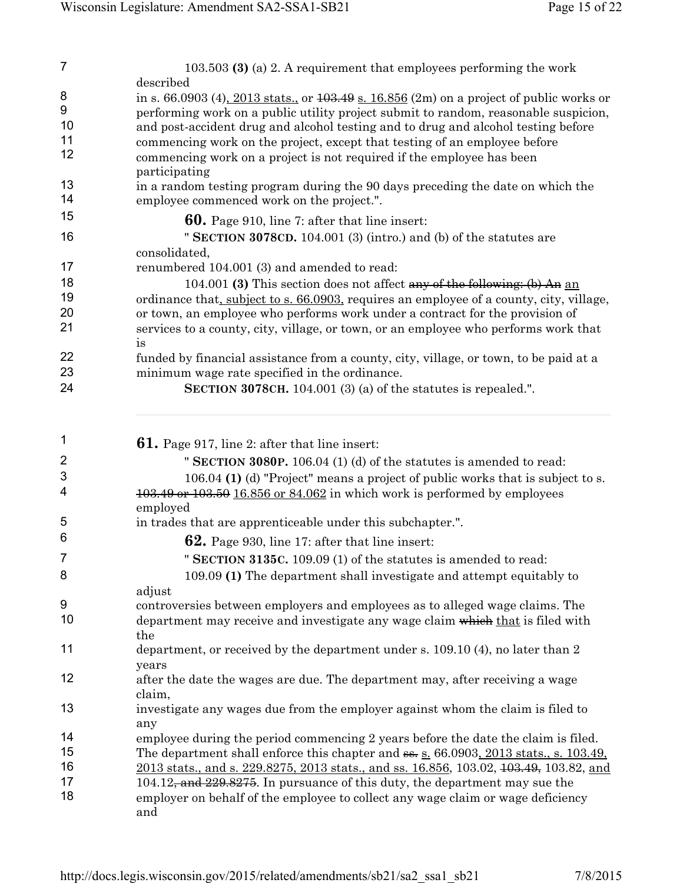| $\overline{7}$               | 103.503 (3) (a) 2. A requirement that employees performing the work                                                                                                     |
|------------------------------|-------------------------------------------------------------------------------------------------------------------------------------------------------------------------|
|                              | described                                                                                                                                                               |
| 8                            | in s. 66.0903 (4), $2013$ stats., or $103.49$ s. 16.856 (2m) on a project of public works or                                                                            |
| $\boldsymbol{9}$             | performing work on a public utility project submit to random, reasonable suspicion,                                                                                     |
| 10                           | and post-accident drug and alcohol testing and to drug and alcohol testing before                                                                                       |
| 11                           | commencing work on the project, except that testing of an employee before                                                                                               |
| 12                           | commencing work on a project is not required if the employee has been<br>participating                                                                                  |
| 13                           | in a random testing program during the 90 days preceding the date on which the                                                                                          |
| 14                           | employee commenced work on the project.".                                                                                                                               |
| 15                           | <b>60.</b> Page 910, line 7: after that line insert:                                                                                                                    |
| 16                           | " SECTION 3078CD. 104.001 (3) (intro.) and (b) of the statutes are                                                                                                      |
|                              | consolidated,                                                                                                                                                           |
| 17                           | renumbered 104.001 (3) and amended to read:                                                                                                                             |
| 18                           | 104.001 (3) This section does not affect any of the following: (b) An an                                                                                                |
| 19                           | ordinance that, subject to s. 66.0903, requires an employee of a county, city, village,                                                                                 |
| 20                           | or town, an employee who performs work under a contract for the provision of                                                                                            |
| 21                           | services to a county, city, village, or town, or an employee who performs work that<br>is                                                                               |
| 22                           | funded by financial assistance from a county, city, village, or town, to be paid at a                                                                                   |
| 23                           | minimum wage rate specified in the ordinance.                                                                                                                           |
| 24                           | SECTION 3078CH. $104.001$ (3) (a) of the statutes is repealed.".                                                                                                        |
| 1<br>$\overline{\mathbf{c}}$ | <b>61.</b> Page 917, line 2: after that line insert:<br>" SECTION 3080P. 106.04 (1) (d) of the statutes is amended to read:                                             |
|                              |                                                                                                                                                                         |
| 3<br>4                       | 106.04 (1) (d) "Project" means a project of public works that is subject to s.<br>103.49 or 103.50 16.856 or 84.062 in which work is performed by employees<br>employed |
| 5                            | in trades that are apprenticeable under this subchapter.".                                                                                                              |
| 6                            | <b>62.</b> Page 930, line 17: after that line insert:                                                                                                                   |
| $\overline{7}$               | " SECTION 3135C. 109.09 (1) of the statutes is amended to read:                                                                                                         |
| 8                            | 109.09 (1) The department shall investigate and attempt equitably to                                                                                                    |
|                              | adjust                                                                                                                                                                  |
| 9                            | controversies between employers and employees as to alleged wage claims. The                                                                                            |
| 10                           | department may receive and investigate any wage claim which that is filed with<br>the                                                                                   |
| 11                           | department, or received by the department under s. $109.10$ (4), no later than 2<br>years                                                                               |
| 12                           | after the date the wages are due. The department may, after receiving a wage<br>claim,                                                                                  |
| 13                           | investigate any wages due from the employer against whom the claim is filed to                                                                                          |
|                              | any                                                                                                                                                                     |
| 14                           | employee during the period commencing 2 years before the date the claim is filed.                                                                                       |
| 15                           | The department shall enforce this chapter and ss. s. 66.0903, 2013 stats., s. 103.49.                                                                                   |
| 16                           | 2013 stats., and s. 229.8275, 2013 stats., and ss. 16.856, 103.02, 403.49, 103.82, and                                                                                  |
| 17                           | 104.12, and 229.8275. In pursuance of this duty, the department may sue the                                                                                             |
| 18                           | employer on behalf of the employee to collect any wage claim or wage deficiency<br>and                                                                                  |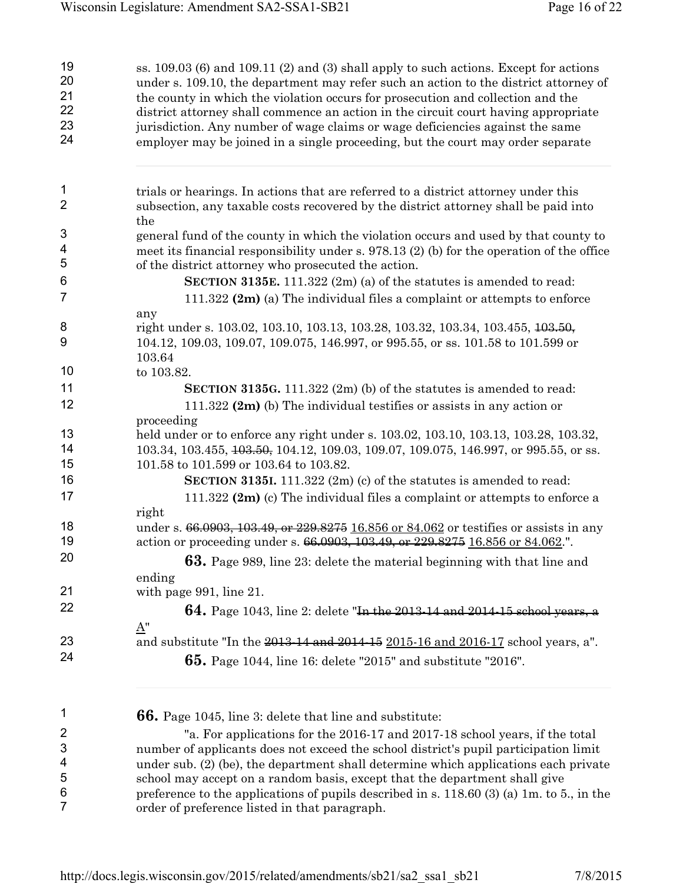| 19<br>20            | ss. $109.03$ (6) and $109.11$ (2) and (3) shall apply to such actions. Except for actions<br>under s. 109.10, the department may refer such an action to the district attorney of |
|---------------------|-----------------------------------------------------------------------------------------------------------------------------------------------------------------------------------|
| 21                  | the county in which the violation occurs for prosecution and collection and the                                                                                                   |
| 22                  | district attorney shall commence an action in the circuit court having appropriate                                                                                                |
| 23<br>24            | jurisdiction. Any number of wage claims or wage deficiencies against the same<br>employer may be joined in a single proceeding, but the court may order separate                  |
| 1<br>$\overline{2}$ | trials or hearings. In actions that are referred to a district attorney under this<br>subsection, any taxable costs recovered by the district attorney shall be paid into         |
|                     | the                                                                                                                                                                               |
| 3                   | general fund of the county in which the violation occurs and used by that county to                                                                                               |
| 4<br>5              | meet its financial responsibility under s. $978.13$ (2) (b) for the operation of the office<br>of the district attorney who prosecuted the action.                                |
| 6                   | SECTION 3135E. 111.322 $(2m)$ (a) of the statutes is amended to read:                                                                                                             |
| $\overline{7}$      | 111.322 $(2m)$ (a) The individual files a complaint or attempts to enforce                                                                                                        |
|                     | any                                                                                                                                                                               |
| 8<br>9              | right under s. 103.02, 103.10, 103.13, 103.28, 103.32, 103.34, 103.455, 103.50,<br>104.12, 109.03, 109.07, 109.075, 146.997, or 995.55, or ss. 101.58 to 101.599 or<br>103.64     |
| 10                  | to 103.82.                                                                                                                                                                        |
| 11                  | SECTION 3135G. 111.322 $(2m)$ (b) of the statutes is amended to read:                                                                                                             |
| 12                  | 111.322 $(2m)$ (b) The individual testifies or assists in any action or                                                                                                           |
|                     | proceeding                                                                                                                                                                        |
| 13                  | held under or to enforce any right under s. 103.02, 103.10, 103.13, 103.28, 103.32,                                                                                               |
| 14<br>15            | 103.34, 103.455, <del>103.50,</del> 104.12, 109.03, 109.07, 109.075, 146.997, or 995.55, or ss.<br>101.58 to 101.599 or 103.64 to 103.82.                                         |
| 16                  | SECTION 31351. 111.322 $(2m)$ (c) of the statutes is amended to read:                                                                                                             |
| 17                  | 111.322 $(2m)$ (c) The individual files a complaint or attempts to enforce a<br>right                                                                                             |
| 18<br>19            | under s. 66.0903, 103.49, or 229.8275 16.856 or 84.062 or testifies or assists in any<br>action or proceeding under s. 66.0903, 103.49, or 229.8275 16.856 or 84.062.".           |
| 20                  | <b>63.</b> Page 989, line 23: delete the material beginning with that line and<br>ending                                                                                          |
| 21                  | with page 991, line 21.                                                                                                                                                           |
| 22                  | 64. Page 1043, line 2: delete "In the 2013-14 and 2014-15 school years. a                                                                                                         |
|                     | $\underline{A}$ "                                                                                                                                                                 |
| 23                  | and substitute "In the 2013-14 and 2014-15 2015-16 and 2016-17 school years, a".                                                                                                  |
| 24                  | <b>65.</b> Page 1044, line 16: delete "2015" and substitute "2016".                                                                                                               |
| 1                   | <b>66.</b> Page 1045, line 3: delete that line and substitute:                                                                                                                    |
| $\overline{c}$      | "a. For applications for the 2016-17 and 2017-18 school years, if the total                                                                                                       |
| 3                   | number of applicants does not exceed the school district's pupil participation limit                                                                                              |
| 4                   | under sub. (2) (be), the department shall determine which applications each private                                                                                               |
| 5                   | school may accept on a random basis, except that the department shall give                                                                                                        |
| 6<br>7              | preference to the applications of pupils described in s. $118.60(3)(a)$ 1m. to 5., in the<br>order of preference listed in that paragraph.                                        |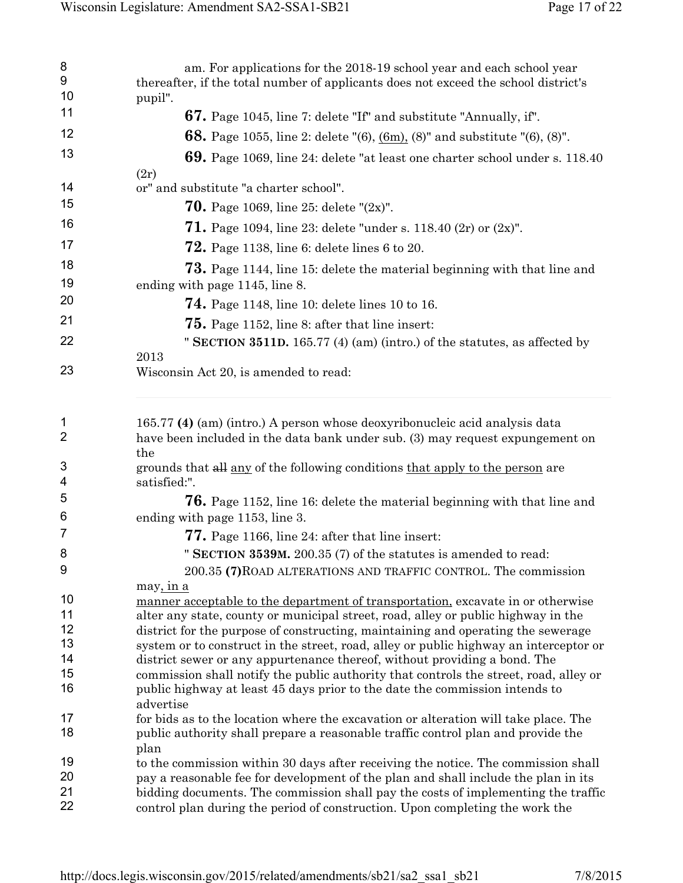| 8<br>9<br>10 | am. For applications for the 2018-19 school year and each school year<br>thereafter, if the total number of applicants does not exceed the school district's<br>pupil".                                                                              |
|--------------|------------------------------------------------------------------------------------------------------------------------------------------------------------------------------------------------------------------------------------------------------|
| 11           | <b>67.</b> Page 1045, line 7: delete "If" and substitute "Annually, if".                                                                                                                                                                             |
| 12           | <b>68.</b> Page 1055, line 2: delete $(6)$ , $(6m)$ , $(8)$ " and substitute $(6)$ , $(8)$ ".                                                                                                                                                        |
| 13           | <b>69.</b> Page 1069, line 24: delete "at least one charter school under s. 118.40                                                                                                                                                                   |
|              | (2r)                                                                                                                                                                                                                                                 |
| 14           | or" and substitute "a charter school".                                                                                                                                                                                                               |
| 15           | <b>70.</b> Page 1069, line 25: delete " $(2x)$ ".                                                                                                                                                                                                    |
| 16           | <b>71.</b> Page 1094, line 23: delete "under s. 118.40 (2r) or $(2x)$ ".                                                                                                                                                                             |
| 17           | <b>72.</b> Page 1138, line 6: delete lines 6 to 20.                                                                                                                                                                                                  |
| 18<br>19     | <b>73.</b> Page 1144, line 15: delete the material beginning with that line and<br>ending with page 1145, line 8.                                                                                                                                    |
| 20           | <b>74.</b> Page 1148, line 10: delete lines 10 to 16.                                                                                                                                                                                                |
| 21           | <b>75.</b> Page 1152, line 8: after that line insert:                                                                                                                                                                                                |
| 22           | " SECTION 3511D. 165.77 (4) (am) (intro.) of the statutes, as affected by                                                                                                                                                                            |
| 23           | 2013<br>Wisconsin Act 20, is amended to read:                                                                                                                                                                                                        |
| 1<br>2<br>3  | 165.77 (4) (am) (intro.) A person whose deoxyribonucleic acid analysis data<br>have been included in the data bank under sub. (3) may request expungement on<br>the<br>grounds that all any of the following conditions that apply to the person are |
| 4            | satisfied:".                                                                                                                                                                                                                                         |
| 5            | <b>76.</b> Page 1152, line 16: delete the material beginning with that line and                                                                                                                                                                      |
| 6            | ending with page 1153, line 3.                                                                                                                                                                                                                       |
| 7            | <b>77.</b> Page 1166, line 24: after that line insert:                                                                                                                                                                                               |
| 8            | " SECTION 3539M. 200.35 (7) of the statutes is amended to read:                                                                                                                                                                                      |
| 9            | 200.35 (7) ROAD ALTERATIONS AND TRAFFIC CONTROL. The commission                                                                                                                                                                                      |
| 10           | may, in a<br>manner acceptable to the department of transportation, excavate in or otherwise                                                                                                                                                         |
| 11           | alter any state, county or municipal street, road, alley or public highway in the                                                                                                                                                                    |
| 12           | district for the purpose of constructing, maintaining and operating the sewerage                                                                                                                                                                     |
| 13           | system or to construct in the street, road, alley or public highway an interceptor or                                                                                                                                                                |
| 14           | district sewer or any appurtenance thereof, without providing a bond. The                                                                                                                                                                            |
| 15           | commission shall notify the public authority that controls the street, road, alley or                                                                                                                                                                |
| 16           | public highway at least 45 days prior to the date the commission intends to                                                                                                                                                                          |
| 17           | advertise<br>for bids as to the location where the excavation or alteration will take place. The                                                                                                                                                     |
| 18           | public authority shall prepare a reasonable traffic control plan and provide the                                                                                                                                                                     |
|              | plan                                                                                                                                                                                                                                                 |
| 19           | to the commission within 30 days after receiving the notice. The commission shall                                                                                                                                                                    |
| 20           | pay a reasonable fee for development of the plan and shall include the plan in its                                                                                                                                                                   |
| 21<br>22     | bidding documents. The commission shall pay the costs of implementing the traffic<br>control plan during the period of construction. Upon completing the work the                                                                                    |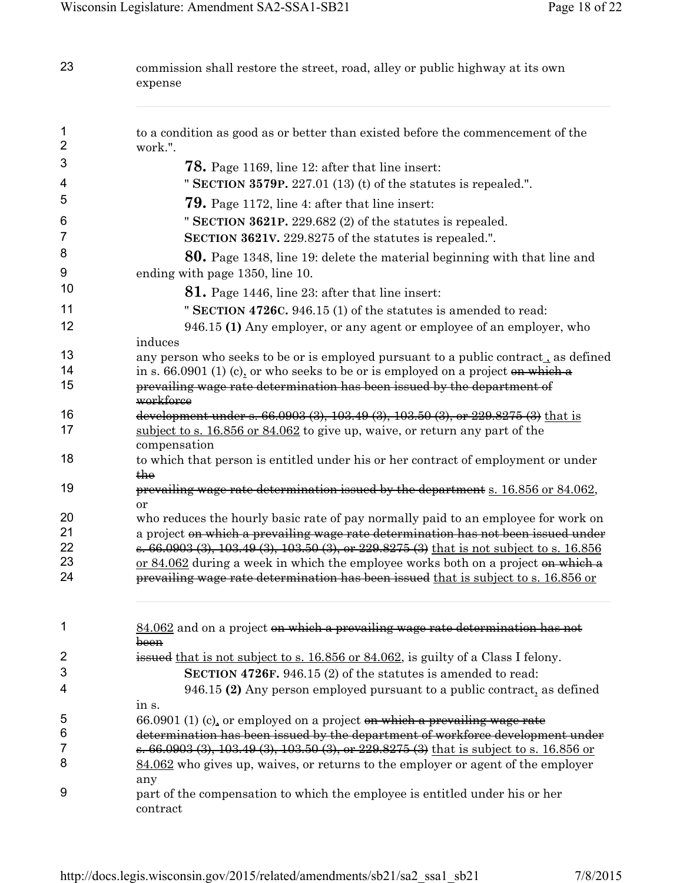| 23                            | commission shall restore the street, road, alley or public highway at its own<br>expense                                                                               |
|-------------------------------|------------------------------------------------------------------------------------------------------------------------------------------------------------------------|
| $\mathbf 1$<br>$\overline{2}$ | to a condition as good as or better than existed before the commencement of the                                                                                        |
| 3                             | work.".                                                                                                                                                                |
|                               | <b>78.</b> Page 1169, line 12: after that line insert:                                                                                                                 |
| 4                             | " SECTION 3579P. 227.01 (13) (t) of the statutes is repealed.".                                                                                                        |
| 5                             | <b>79.</b> Page 1172, line 4: after that line insert:                                                                                                                  |
| 6                             | " SECTION 3621P. 229.682 (2) of the statutes is repealed.                                                                                                              |
| 7                             | SECTION 3621V. 229.8275 of the statutes is repealed.".                                                                                                                 |
| 8<br>9                        | <b>80.</b> Page 1348, line 19: delete the material beginning with that line and<br>ending with page 1350, line 10.                                                     |
| 10                            | <b>81.</b> Page 1446, line 23: after that line insert:                                                                                                                 |
| 11                            | " SECTION 4726C. 946.15 (1) of the statutes is amended to read:                                                                                                        |
| 12                            | 946.15 (1) Any employer, or any agent or employee of an employer, who                                                                                                  |
|                               | induces                                                                                                                                                                |
| 13                            | any person who seeks to be or is employed pursuant to a public contract, as defined                                                                                    |
| 14                            | in s. 66.0901 (1) (c), or who seeks to be or is employed on a project on which a                                                                                       |
| 15                            | prevailing wage rate determination has been issued by the department of<br>workforce                                                                                   |
| 16                            | development under s. 66.0903 (3), 103.49 (3), 103.50 (3), or $229.8275$ (3) that is                                                                                    |
| 17                            | subject to s. 16.856 or 84.062 to give up, waive, or return any part of the<br>compensation                                                                            |
| 18                            | to which that person is entitled under his or her contract of employment or under<br>the                                                                               |
| 19                            | prevailing wage rate determination issued by the department s. 16.856 or 84.062,<br>or                                                                                 |
| 20                            | who reduces the hourly basic rate of pay normally paid to an employee for work on                                                                                      |
| 21                            | a project on which a prevailing wage rate determination has not been issued under                                                                                      |
| 22                            | s. 66.0903 (3), 103.49 (3), 103.50 (3), or 229.8275 (3) that is not subject to s. 16.856                                                                               |
| 23<br>24                      | or 84.062 during a week in which the employee works both on a project on which a<br>prevailing wage rate determination has been issued that is subject to s. 16.856 or |
| 1                             | $84.062$ and on a project on which a prevailing wage rate determination has not<br><del>been</del>                                                                     |
| 2                             | issued that is not subject to s. 16.856 or 84.062, is guilty of a Class I felony.                                                                                      |
| 3                             | SECTION 4726F. 946.15 (2) of the statutes is amended to read:                                                                                                          |
| 4                             | 946.15 (2) Any person employed pursuant to a public contract, as defined                                                                                               |
|                               | in s.                                                                                                                                                                  |
| 5                             | 66.0901 (1) (c), or employed on a project on which a prevailing wage rate                                                                                              |
| 6                             | determination has been issued by the department of workforce development under                                                                                         |
| 7<br>8                        | s. 66.0903 (3), 103.49 (3), 103.50 (3), or 229.8275 (3) that is subject to s. 16.856 or                                                                                |
|                               | 84.062 who gives up, waives, or returns to the employer or agent of the employer<br>any                                                                                |
| 9                             | part of the compensation to which the employee is entitled under his or her<br>contract                                                                                |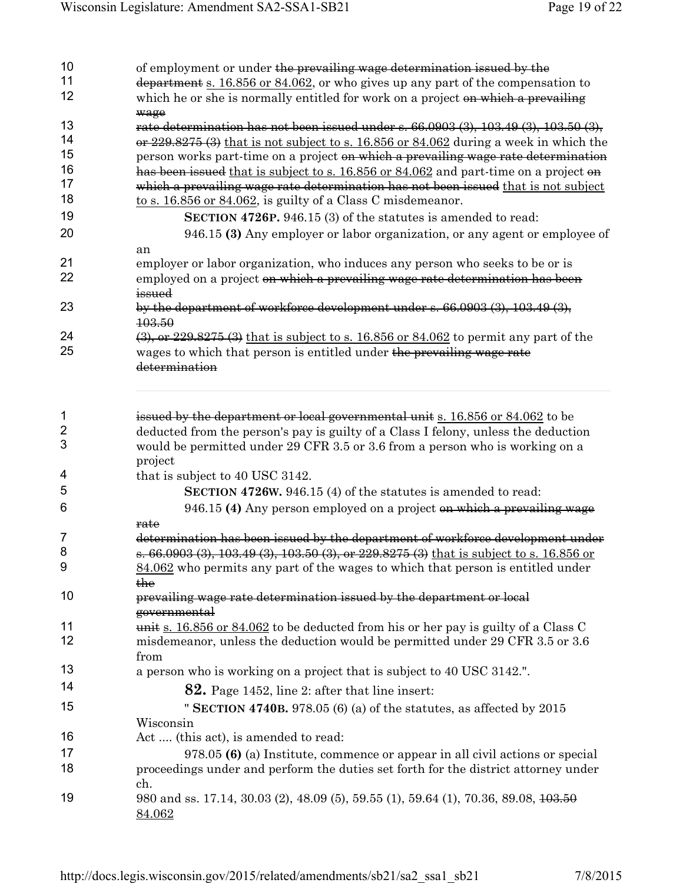| 10       | of employment or under the prevailing wage determination issued by the                                    |  |  |
|----------|-----------------------------------------------------------------------------------------------------------|--|--|
| 11       | department s. 16.856 or 84.062, or who gives up any part of the compensation to                           |  |  |
| 12       | which he or she is normally entitled for work on a project on which a prevailing                          |  |  |
|          | wage                                                                                                      |  |  |
| 13       | rate determination has not been issued under s. 66.0903 (3), 103.49 (3), 103.50 (3),                      |  |  |
| 14       | $\frac{\text{or}}{229.8275}$ (3) that is not subject to s. 16.856 or 84.062 during a week in which the    |  |  |
| 15       | person works part-time on a project on which a prevailing wage rate determination                         |  |  |
| 16       | has been issued that is subject to s. 16.856 or 84.062 and part-time on a project on                      |  |  |
| 17       | which a prevailing wage rate determination has not been issued that is not subject                        |  |  |
| 18       | to s. $16.856$ or $84.062$ , is guilty of a Class C misdemeanor.                                          |  |  |
| 19       | SECTION 4726P. 946.15 (3) of the statutes is amended to read:                                             |  |  |
| 20       | 946.15 (3) Any employer or labor organization, or any agent or employee of                                |  |  |
| 21       | an<br>employer or labor organization, who induces any person who seeks to be or is                        |  |  |
| 22       | employed on a project on which a prevailing wage rate determination has been                              |  |  |
|          | issued                                                                                                    |  |  |
| 23       | by the department of workforce development under s. 66.0903 (3), 103.49 (3),                              |  |  |
|          | 103.50                                                                                                    |  |  |
| 24       | $(3)$ , or 229.8275 $(3)$ that is subject to s. 16.856 or 84.062 to permit any part of the                |  |  |
| 25       | wages to which that person is entitled under the prevailing wage rate                                     |  |  |
|          | determination                                                                                             |  |  |
|          |                                                                                                           |  |  |
|          |                                                                                                           |  |  |
| 1        | issued by the department or local governmental unit s. 16.856 or 84.062 to be                             |  |  |
| 2<br>3   | deducted from the person's pay is guilty of a Class I felony, unless the deduction                        |  |  |
|          | would be permitted under 29 CFR 3.5 or 3.6 from a person who is working on a                              |  |  |
|          | project                                                                                                   |  |  |
| 4        | that is subject to 40 USC 3142.                                                                           |  |  |
| 5        | SECTION 4726W. 946.15 (4) of the statutes is amended to read:                                             |  |  |
| 6        | 946.15 (4) Any person employed on a project on which a prevailing wage                                    |  |  |
|          | <del>rate</del>                                                                                           |  |  |
| 7        | determination has been issued by the department of workforce development under                            |  |  |
| 8        | s. 66.0903 (3), 103.49 (3), 103.50 (3), or 229.8275 (3) that is subject to s. 16.856 or                   |  |  |
| 9        | 84.062 who permits any part of the wages to which that person is entitled under                           |  |  |
|          | the                                                                                                       |  |  |
| 10       | prevailing wage rate determination issued by the department or local                                      |  |  |
|          | governmental                                                                                              |  |  |
| 11<br>12 | $\frac{1}{2}$ and $\frac{16.856}{10}$ or 84.062 to be deducted from his or her pay is guilty of a Class C |  |  |
|          | misdemeanor, unless the deduction would be permitted under 29 CFR 3.5 or 3.6<br>from                      |  |  |
| 13       | a person who is working on a project that is subject to 40 USC 3142.".                                    |  |  |
| 14       | <b>82.</b> Page 1452, line 2: after that line insert:                                                     |  |  |
| 15       | " SECTION 4740B. 978.05 (6) (a) of the statutes, as affected by $2015$                                    |  |  |
|          | Wisconsin                                                                                                 |  |  |
| 16       | Act  (this act), is amended to read:                                                                      |  |  |
| 17       | 978.05 (6) (a) Institute, commence or appear in all civil actions or special                              |  |  |
| 18       | proceedings under and perform the duties set forth for the district attorney under                        |  |  |
|          | ch.                                                                                                       |  |  |
| 19       | 980 and ss. 17.14, 30.03 (2), 48.09 (5), 59.55 (1), 59.64 (1), 70.36, 89.08, 403.50                       |  |  |
|          | 84.062                                                                                                    |  |  |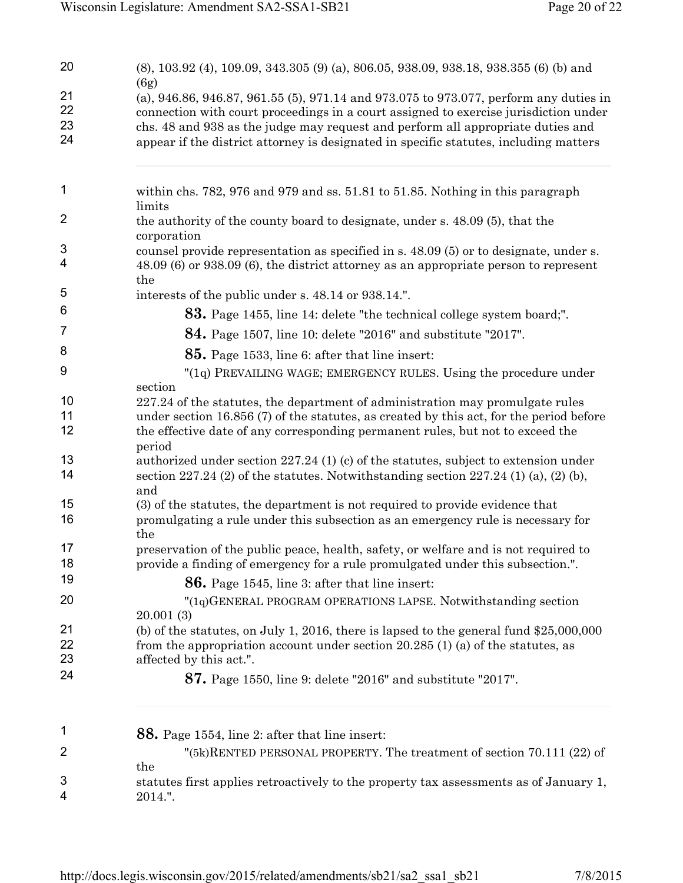| (6g)<br>(a), 946.86, 946.87, 961.55 (5), 971.14 and 973.075 to 973.077, perform any duties in<br>connection with court proceedings in a court assigned to exercise jurisdiction under<br>chs. 48 and 938 as the judge may request and perform all appropriate duties and<br>appear if the district attorney is designated in specific statutes, including matters |
|-------------------------------------------------------------------------------------------------------------------------------------------------------------------------------------------------------------------------------------------------------------------------------------------------------------------------------------------------------------------|
|                                                                                                                                                                                                                                                                                                                                                                   |
|                                                                                                                                                                                                                                                                                                                                                                   |
|                                                                                                                                                                                                                                                                                                                                                                   |
|                                                                                                                                                                                                                                                                                                                                                                   |
| within chs. $782$ , $976$ and $979$ and ss. $51.81$ to $51.85$ . Nothing in this paragraph<br>limits                                                                                                                                                                                                                                                              |
| the authority of the county board to designate, under s. 48.09 (5), that the<br>corporation                                                                                                                                                                                                                                                                       |
| counsel provide representation as specified in s. 48.09 (5) or to designate, under s.<br>48.09 (6) or 938.09 (6), the district attorney as an appropriate person to represent<br>the                                                                                                                                                                              |
| interests of the public under s. 48.14 or 938.14.".                                                                                                                                                                                                                                                                                                               |
| <b>83.</b> Page 1455, line 14: delete "the technical college system board;".                                                                                                                                                                                                                                                                                      |
| 84. Page 1507, line 10: delete "2016" and substitute "2017".                                                                                                                                                                                                                                                                                                      |
| <b>85.</b> Page 1533, line 6: after that line insert:                                                                                                                                                                                                                                                                                                             |
| "(1q) PREVAILING WAGE; EMERGENCY RULES. Using the procedure under<br>section                                                                                                                                                                                                                                                                                      |
| 227.24 of the statutes, the department of administration may promulgate rules                                                                                                                                                                                                                                                                                     |
| under section 16.856 (7) of the statutes, as created by this act, for the period before                                                                                                                                                                                                                                                                           |
| the effective date of any corresponding permanent rules, but not to exceed the<br>period                                                                                                                                                                                                                                                                          |
| authorized under section 227.24 (1) (c) of the statutes, subject to extension under                                                                                                                                                                                                                                                                               |
| section 227.24 (2) of the statutes. Notwithstanding section 227.24 (1) (a), (2) (b),<br>and                                                                                                                                                                                                                                                                       |
| (3) of the statutes, the department is not required to provide evidence that                                                                                                                                                                                                                                                                                      |
| promulgating a rule under this subsection as an emergency rule is necessary for<br>the                                                                                                                                                                                                                                                                            |
| preservation of the public peace, health, safety, or welfare and is not required to                                                                                                                                                                                                                                                                               |
| provide a finding of emergency for a rule promulgated under this subsection.".                                                                                                                                                                                                                                                                                    |
| <b>86.</b> Page 1545, line 3: after that line insert:                                                                                                                                                                                                                                                                                                             |
| "(1q) GENERAL PROGRAM OPERATIONS LAPSE. Notwithstanding section<br>20.001 (3)                                                                                                                                                                                                                                                                                     |
| (b) of the statutes, on July 1, 2016, there is lapsed to the general fund $$25,000,000$                                                                                                                                                                                                                                                                           |
| from the appropriation account under section $20.285$ (1) (a) of the statutes, as<br>affected by this act.".                                                                                                                                                                                                                                                      |
|                                                                                                                                                                                                                                                                                                                                                                   |
|                                                                                                                                                                                                                                                                                                                                                                   |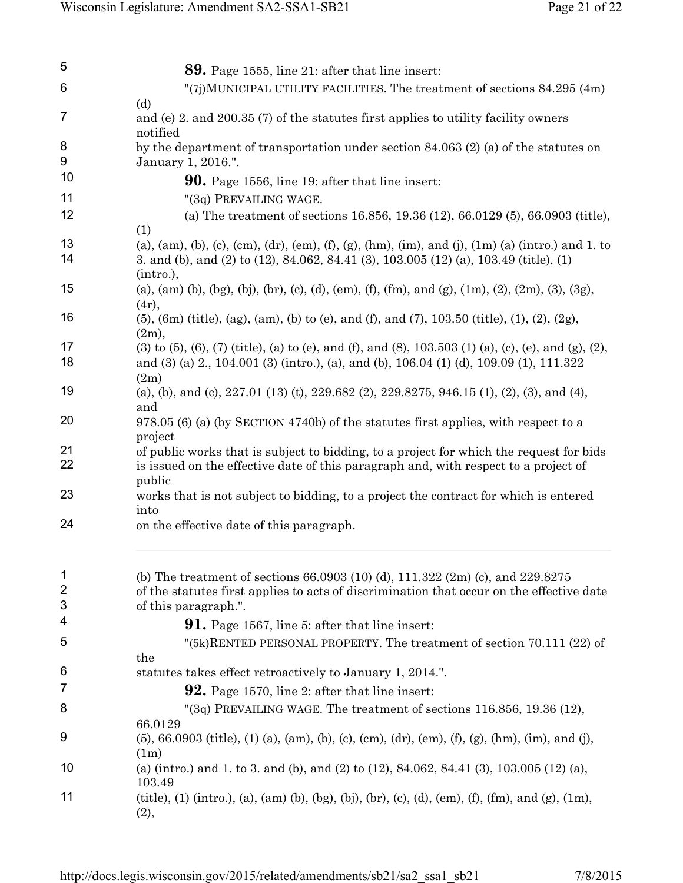| 5  | <b>89.</b> Page 1555, line 21: after that line insert:                                                                                    |
|----|-------------------------------------------------------------------------------------------------------------------------------------------|
| 6  | "(7j)MUNICIPAL UTILITY FACILITIES. The treatment of sections 84.295 (4m)                                                                  |
|    | (d)                                                                                                                                       |
| 7  | and (e) 2. and 200.35 (7) of the statutes first applies to utility facility owners<br>notified                                            |
| 8  | by the department of transportation under section $84.063$ (2) (a) of the statutes on                                                     |
| 9  | January 1, 2016.".                                                                                                                        |
| 10 | <b>90.</b> Page 1556, line 19: after that line insert:                                                                                    |
| 11 | "(3q) PREVAILING WAGE.                                                                                                                    |
| 12 | (a) The treatment of sections $16.856$ , $19.36$ (12), $66.0129$ (5), $66.0903$ (title),<br>(1)                                           |
| 13 | (a), (am), (b), (c), (cm), (dr), (em), (f), (g), (hm), (im), and (j), (1m) (a) (intro.) and 1. to                                         |
| 14 | 3. and (b), and (2) to (12), 84.062, 84.41 (3), 103.005 (12) (a), 103.49 (title), (1)<br>$(intro.)$ ,                                     |
| 15 | (a), (am) (b), (bg), (bj), (br), (c), (d), (em), (f), (fm), and (g), (1m), (2), (2m), (3), (3g),<br>(4r),                                 |
| 16 | $(5)$ , $(6m)$ (title), $(ag)$ , $(am)$ , $(b)$ to $(e)$ , and $(f)$ , and $(7)$ , $103.50$ (title), $(1)$ , $(2)$ , $(2g)$ ,<br>$(2m)$ , |
| 17 | $(3)$ to $(5)$ , $(6)$ , $(7)$ (title), (a) to (e), and (f), and (8), 103.503 (1) (a), (c), (e), and (g), (2),                            |
| 18 | and (3) (a) 2., 104.001 (3) (intro.), (a), and (b), 106.04 (1) (d), 109.09 (1), 111.322<br>(2m)                                           |
| 19 | (a), (b), and (c), $227.01(13)$ (t), $229.682(2)$ , $229.8275$ , $946.15(1)$ , (2), (3), and (4),<br>and                                  |
| 20 | 978.05 (6) (a) (by SECTION 4740b) of the statutes first applies, with respect to a<br>project                                             |
| 21 | of public works that is subject to bidding, to a project for which the request for bids                                                   |
| 22 | is issued on the effective date of this paragraph and, with respect to a project of<br>public                                             |
| 23 | works that is not subject to bidding, to a project the contract for which is entered<br>into                                              |
| 24 | on the effective date of this paragraph.                                                                                                  |
| 1  | (b) The treatment of sections $66.0903(10)$ (d), $111.322(2m)$ (c), and $229.8275$                                                        |
| 2  | of the statutes first applies to acts of discrimination that occur on the effective date                                                  |
| 3  | of this paragraph.".                                                                                                                      |
| 4  | <b>91.</b> Page 1567, line 5: after that line insert:                                                                                     |
| 5  | "(5k)RENTED PERSONAL PROPERTY. The treatment of section 70.111 (22) of                                                                    |
|    | the                                                                                                                                       |
| 6  | statutes takes effect retroactively to January 1, 2014.".                                                                                 |
| 7  | <b>92.</b> Page 1570, line 2: after that line insert:                                                                                     |
| 8  | "(3q) PREVAILING WAGE. The treatment of sections $116.856$ , $19.36$ (12),                                                                |
| 9  | 66.0129<br>$(5)$ , 66.0903 (title), (1) (a), (am), (b), (c), (cm), (dr), (em), (f), (g), (hm), (im), and (j),                             |
| 10 | (1m)<br>(a) (intro.) and 1. to 3. and (b), and (2) to $(12)$ , $84.062$ , $84.41$ (3), $103.005$ $(12)$ (a),                              |
|    | 103.49                                                                                                                                    |
| 11 | (title), (1) (intro.), (a), (am) (b), (bg), (bj), (br), (c), (d), (em), (f), (fm), and (g), (1m),<br>(2),                                 |